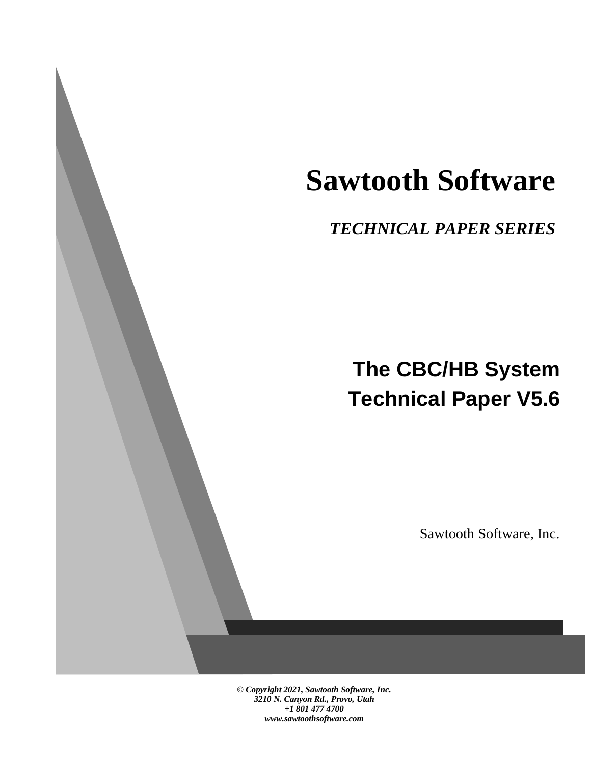# **Sawtooth Software**

## *TECHNICAL PAPER SERIES*

## **The CBC/HB System Technical Paper V5.6**

Sawtooth Software, Inc.

*© Copyright 2021, Sawtooth Software, Inc. 3210 N. Canyon Rd., Provo, Utah +1 801 477 4700 www.sawtoothsoftware.com*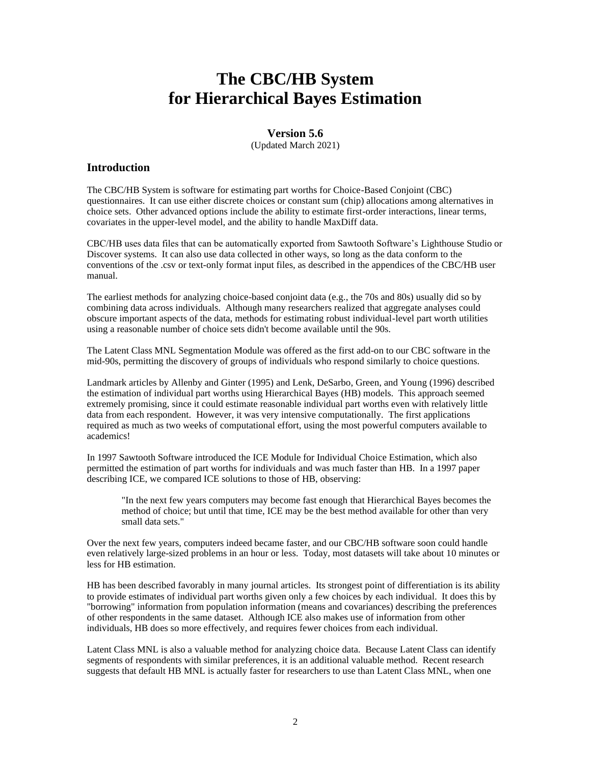## **The CBC/HB System for Hierarchical Bayes Estimation**

#### **Version 5.6**

(Updated March 2021)

#### **Introduction**

The CBC/HB System is software for estimating part worths for Choice-Based Conjoint (CBC) questionnaires. It can use either discrete choices or constant sum (chip) allocations among alternatives in choice sets. Other advanced options include the ability to estimate first-order interactions, linear terms, covariates in the upper-level model, and the ability to handle MaxDiff data.

CBC/HB uses data files that can be automatically exported from Sawtooth Software's Lighthouse Studio or Discover systems. It can also use data collected in other ways, so long as the data conform to the conventions of the .csv or text-only format input files, as described in the appendices of the CBC/HB user manual.

The earliest methods for analyzing choice-based conjoint data (e.g., the 70s and 80s) usually did so by combining data across individuals. Although many researchers realized that aggregate analyses could obscure important aspects of the data, methods for estimating robust individual-level part worth utilities using a reasonable number of choice sets didn't become available until the 90s.

The Latent Class MNL Segmentation Module was offered as the first add-on to our CBC software in the mid-90s, permitting the discovery of groups of individuals who respond similarly to choice questions.

Landmark articles by Allenby and Ginter (1995) and Lenk, DeSarbo, Green, and Young (1996) described the estimation of individual part worths using Hierarchical Bayes (HB) models. This approach seemed extremely promising, since it could estimate reasonable individual part worths even with relatively little data from each respondent. However, it was very intensive computationally. The first applications required as much as two weeks of computational effort, using the most powerful computers available to academics!

In 1997 Sawtooth Software introduced the ICE Module for Individual Choice Estimation, which also permitted the estimation of part worths for individuals and was much faster than HB. In a 1997 paper describing ICE, we compared ICE solutions to those of HB, observing:

"In the next few years computers may become fast enough that Hierarchical Bayes becomes the method of choice; but until that time, ICE may be the best method available for other than very small data sets."

Over the next few years, computers indeed became faster, and our CBC/HB software soon could handle even relatively large-sized problems in an hour or less. Today, most datasets will take about 10 minutes or less for HB estimation.

HB has been described favorably in many journal articles. Its strongest point of differentiation is its ability to provide estimates of individual part worths given only a few choices by each individual. It does this by "borrowing" information from population information (means and covariances) describing the preferences of other respondents in the same dataset. Although ICE also makes use of information from other individuals, HB does so more effectively, and requires fewer choices from each individual.

Latent Class MNL is also a valuable method for analyzing choice data. Because Latent Class can identify segments of respondents with similar preferences, it is an additional valuable method. Recent research suggests that default HB MNL is actually faster for researchers to use than Latent Class MNL, when one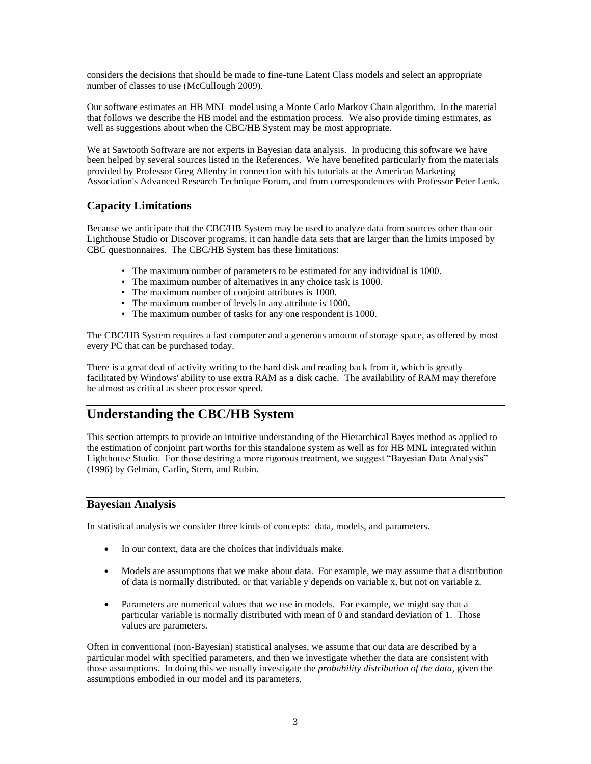considers the decisions that should be made to fine-tune Latent Class models and select an appropriate number of classes to use (McCullough 2009).

Our software estimates an HB MNL model using a Monte Carlo Markov Chain algorithm. In the material that follows we describe the HB model and the estimation process. We also provide timing estimates, as well as suggestions about when the CBC/HB System may be most appropriate.

We at Sawtooth Software are not experts in Bayesian data analysis. In producing this software we have been helped by several sources listed in the References. We have benefited particularly from the materials provided by Professor Greg Allenby in connection with his tutorials at the American Marketing Association's Advanced Research Technique Forum, and from correspondences with Professor Peter Lenk.

#### **Capacity Limitations**

Because we anticipate that the CBC/HB System may be used to analyze data from sources other than our Lighthouse Studio or Discover programs, it can handle data sets that are larger than the limits imposed by CBC questionnaires. The CBC/HB System has these limitations:

- The maximum number of parameters to be estimated for any individual is 1000.
- The maximum number of alternatives in any choice task is 1000.
- The maximum number of conjoint attributes is 1000.
- The maximum number of levels in any attribute is 1000.
- The maximum number of tasks for any one respondent is 1000.

The CBC/HB System requires a fast computer and a generous amount of storage space, as offered by most every PC that can be purchased today.

There is a great deal of activity writing to the hard disk and reading back from it, which is greatly facilitated by Windows' ability to use extra RAM as a disk cache. The availability of RAM may therefore be almost as critical as sheer processor speed.

## **Understanding the CBC/HB System**

This section attempts to provide an intuitive understanding of the Hierarchical Bayes method as applied to the estimation of conjoint part worths for this standalone system as well as for HB MNL integrated within Lighthouse Studio. For those desiring a more rigorous treatment, we suggest "Bayesian Data Analysis" (1996) by Gelman, Carlin, Stern, and Rubin.

#### **Bayesian Analysis**

In statistical analysis we consider three kinds of concepts: data, models, and parameters.

- In our context, data are the choices that individuals make.
- Models are assumptions that we make about data. For example, we may assume that a distribution of data is normally distributed, or that variable y depends on variable x, but not on variable z.
- Parameters are numerical values that we use in models. For example, we might say that a particular variable is normally distributed with mean of 0 and standard deviation of 1. Those values are parameters.

Often in conventional (non-Bayesian) statistical analyses, we assume that our data are described by a particular model with specified parameters, and then we investigate whether the data are consistent with those assumptions. In doing this we usually investigate the *probability distribution of the data*, given the assumptions embodied in our model and its parameters.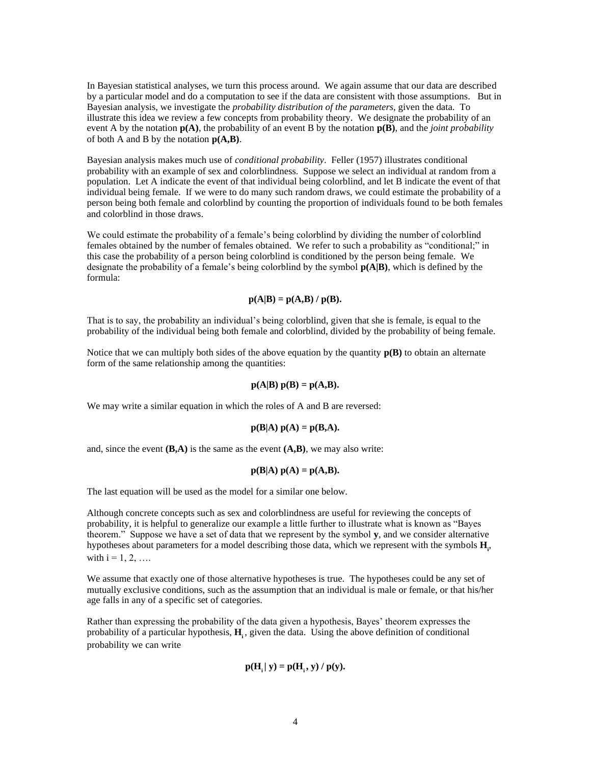In Bayesian statistical analyses, we turn this process around. We again assume that our data are described by a particular model and do a computation to see if the data are consistent with those assumptions. But in Bayesian analysis, we investigate the *probability distribution of the parameters*, given the data. To illustrate this idea we review a few concepts from probability theory. We designate the probability of an event A by the notation **p(A)**, the probability of an event B by the notation **p(B)**, and the *joint probability* of both A and B by the notation **p(A,B)**.

Bayesian analysis makes much use of *conditional probability*. Feller (1957) illustrates conditional probability with an example of sex and colorblindness. Suppose we select an individual at random from a population. Let A indicate the event of that individual being colorblind, and let B indicate the event of that individual being female. If we were to do many such random draws, we could estimate the probability of a person being both female and colorblind by counting the proportion of individuals found to be both females and colorblind in those draws.

We could estimate the probability of a female's being colorblind by dividing the number of colorblind females obtained by the number of females obtained. We refer to such a probability as "conditional;" in this case the probability of a person being colorblind is conditioned by the person being female. We designate the probability of a female's being colorblind by the symbol **p(A|B)**, which is defined by the formula:

#### $p(A|B) = p(A,B) / p(B)$ .

That is to say, the probability an individual's being colorblind, given that she is female, is equal to the probability of the individual being both female and colorblind, divided by the probability of being female.

Notice that we can multiply both sides of the above equation by the quantity  $p(B)$  to obtain an alternate form of the same relationship among the quantities:

$$
p(A|B) p(B) = p(A,B).
$$

We may write a similar equation in which the roles of A and B are reversed:

$$
p(B|A) p(A) = p(B,A).
$$

and, since the event **(B,A)** is the same as the event **(A,B)**, we may also write:

$$
p(B|A) p(A) = p(A,B).
$$

The last equation will be used as the model for a similar one below.

Although concrete concepts such as sex and colorblindness are useful for reviewing the concepts of probability, it is helpful to generalize our example a little further to illustrate what is known as "Bayes theorem." Suppose we have a set of data that we represent by the symbol **y**, and we consider alternative hypotheses about parameters for a model describing those data, which we represent with the symbols **H<sup>i</sup>** , with  $i = 1, 2, ...$ 

We assume that exactly one of those alternative hypotheses is true. The hypotheses could be any set of mutually exclusive conditions, such as the assumption that an individual is male or female, or that his/her age falls in any of a specific set of categories.

Rather than expressing the probability of the data given a hypothesis, Bayes' theorem expresses the probability of a particular hypothesis,  $H_i$ , given the data. Using the above definition of conditional probability we can write

$$
\mathbf{p}(\mathbf{H}_{i} | \mathbf{y}) = \mathbf{p}(\mathbf{H}_{i}, \mathbf{y}) / \mathbf{p}(\mathbf{y}).
$$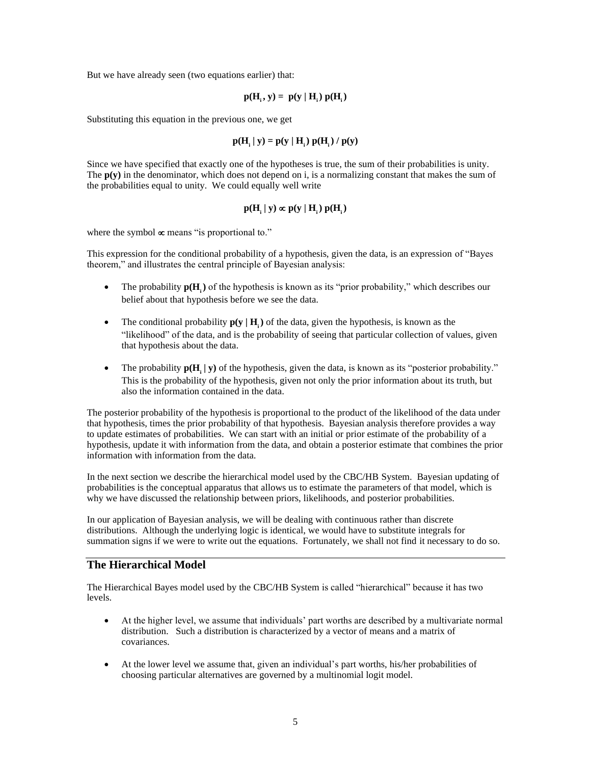But we have already seen (two equations earlier) that:

$$
p(H_i, y) = p(y | H_i) p(H_i)
$$

Substituting this equation in the previous one, we get

$$
\mathbf{p}(\mathbf{H}_{i} | \mathbf{y}) = \mathbf{p}(\mathbf{y} | \mathbf{H}_{i}) \mathbf{p}(\mathbf{H}_{i}) / \mathbf{p}(\mathbf{y})
$$

Since we have specified that exactly one of the hypotheses is true, the sum of their probabilities is unity. The **p(y)** in the denominator, which does not depend on i, is a normalizing constant that makes the sum of the probabilities equal to unity. We could equally well write

$$
p(H_{_i}\,|\,y)\propto p(y\,|\,H_{_i})\;p(H_{_i})
$$

where the symbol  $\infty$  means "is proportional to."

This expression for the conditional probability of a hypothesis, given the data, is an expression of "Bayes theorem," and illustrates the central principle of Bayesian analysis:

- The probability  $p(H_i)$  of the hypothesis is known as its "prior probability," which describes our belief about that hypothesis before we see the data.
- The conditional probability  $p(y | H_i)$  of the data, given the hypothesis, is known as the "likelihood" of the data, and is the probability of seeing that particular collection of values, given that hypothesis about the data.
- The probability  $p(H_i | y)$  of the hypothesis, given the data, is known as its "posterior probability." This is the probability of the hypothesis, given not only the prior information about its truth, but also the information contained in the data.

The posterior probability of the hypothesis is proportional to the product of the likelihood of the data under that hypothesis, times the prior probability of that hypothesis. Bayesian analysis therefore provides a way to update estimates of probabilities. We can start with an initial or prior estimate of the probability of a hypothesis, update it with information from the data, and obtain a posterior estimate that combines the prior information with information from the data.

In the next section we describe the hierarchical model used by the CBC/HB System. Bayesian updating of probabilities is the conceptual apparatus that allows us to estimate the parameters of that model, which is why we have discussed the relationship between priors, likelihoods, and posterior probabilities.

In our application of Bayesian analysis, we will be dealing with continuous rather than discrete distributions. Although the underlying logic is identical, we would have to substitute integrals for summation signs if we were to write out the equations. Fortunately, we shall not find it necessary to do so.

#### **The Hierarchical Model**

The Hierarchical Bayes model used by the CBC/HB System is called "hierarchical" because it has two levels.

- At the higher level, we assume that individuals' part worths are described by a multivariate normal distribution. Such a distribution is characterized by a vector of means and a matrix of covariances.
- At the lower level we assume that, given an individual's part worths, his/her probabilities of choosing particular alternatives are governed by a multinomial logit model.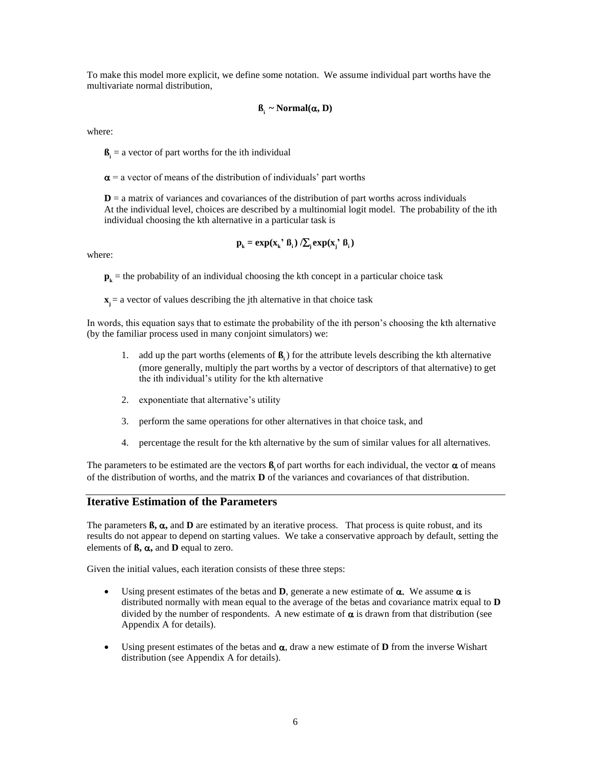To make this model more explicit, we define some notation. We assume individual part worths have the multivariate normal distribution,

$$
\beta_i \sim Normal(\alpha, D)
$$

where:

 $\mathbf{B}_i$  = a vector of part worths for the ith individual

 $\alpha$  = a vector of means of the distribution of individuals' part worths

 $D = a$  matrix of variances and covariances of the distribution of part worths across individuals At the individual level, choices are described by a multinomial logit model. The probability of the ith individual choosing the kth alternative in a particular task is

$$
\mathbf{p}_{k} = \exp(\mathbf{x}_{k} \cdot \mathbf{B}_{i}) / \sum_{j} \exp(\mathbf{x}_{j} \cdot \mathbf{B}_{i})
$$

where:

 $\mathbf{p}_k$  = the probability of an individual choosing the kth concept in a particular choice task

 $\mathbf{x}$  = a vector of values describing the jth alternative in that choice task

In words, this equation says that to estimate the probability of the ith person's choosing the kth alternative (by the familiar process used in many conjoint simulators) we:

- 1. add up the part worths (elements of  $\beta$ <sub>i</sub>) for the attribute levels describing the kth alternative (more generally, multiply the part worths by a vector of descriptors of that alternative) to get the ith individual's utility for the kth alternative
- 2. exponentiate that alternative's utility
- 3. perform the same operations for other alternatives in that choice task, and
- 4. percentage the result for the kth alternative by the sum of similar values for all alternatives.

The parameters to be estimated are the vectors  $\mathbf{B}$  of part worths for each individual, the vector  $\alpha$  of means of the distribution of worths, and the matrix **D** of the variances and covariances of that distribution.

#### **Iterative Estimation of the Parameters**

The parameters  $\mathbf{\beta}, \mathbf{\alpha}$ , and  $\mathbf{D}$  are estimated by an iterative process. That process is quite robust, and its results do not appear to depend on starting values. We take a conservative approach by default, setting the elements of  $\beta$ ,  $\alpha$ , and **D** equal to zero.

Given the initial values, each iteration consists of these three steps:

- Using present estimates of the betas and **D**, generate a new estimate of  $\alpha$ . We assume  $\alpha$  is distributed normally with mean equal to the average of the betas and covariance matrix equal to **D** divided by the number of respondents. A new estimate of  $\alpha$  is drawn from that distribution (see Appendix A for details).
- Using present estimates of the betas and  $\alpha$ , draw a new estimate of **D** from the inverse Wishart distribution (see Appendix A for details).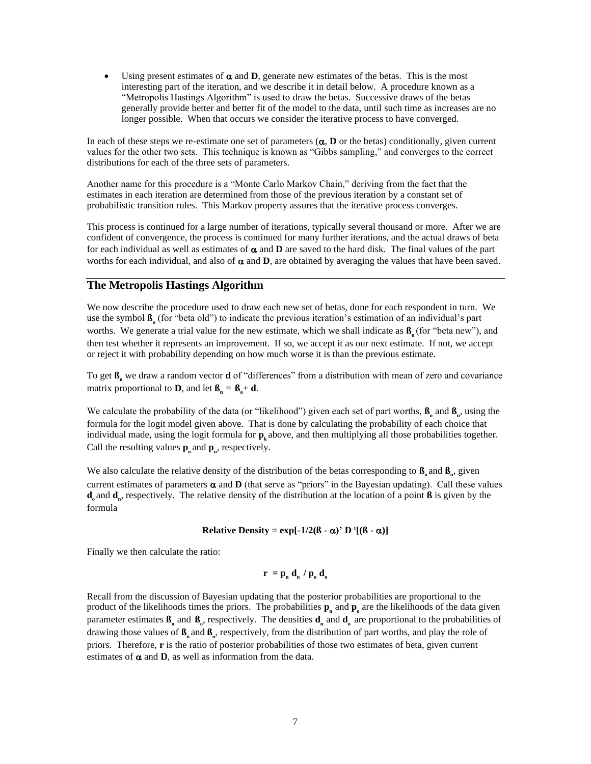• Using present estimates of  $\alpha$  and **D**, generate new estimates of the betas. This is the most interesting part of the iteration, and we describe it in detail below. A procedure known as a "Metropolis Hastings Algorithm" is used to draw the betas. Successive draws of the betas generally provide better and better fit of the model to the data, until such time as increases are no longer possible. When that occurs we consider the iterative process to have converged.

In each of these steps we re-estimate one set of parameters  $(\alpha, D)$  or the betas) conditionally, given current values for the other two sets. This technique is known as "Gibbs sampling," and converges to the correct distributions for each of the three sets of parameters.

Another name for this procedure is a "Monte Carlo Markov Chain," deriving from the fact that the estimates in each iteration are determined from those of the previous iteration by a constant set of probabilistic transition rules. This Markov property assures that the iterative process converges.

This process is continued for a large number of iterations, typically several thousand or more. After we are confident of convergence, the process is continued for many further iterations, and the actual draws of beta for each individual as well as estimates of  $\alpha$  and  $D$  are saved to the hard disk. The final values of the part worths for each individual, and also of  $\alpha$  and  $D$ , are obtained by averaging the values that have been saved.

#### **The Metropolis Hastings Algorithm**

We now describe the procedure used to draw each new set of betas, done for each respondent in turn. We use the symbol **ß<sup>o</sup>** (for "beta old") to indicate the previous iteration's estimation of an individual's part worths. We generate a trial value for the new estimate, which we shall indicate as **ß<sup>n</sup>** (for "beta new"), and then test whether it represents an improvement. If so, we accept it as our next estimate. If not, we accept or reject it with probability depending on how much worse it is than the previous estimate.

To get **ß<sup>n</sup>** we draw a random vector **d** of "differences" from a distribution with mean of zero and covariance matrix proportional to **D**, and let  $\mathbf{B}_{n} = \mathbf{B}_{o} + \mathbf{d}$ .

We calculate the probability of the data (or "likelihood") given each set of part worths,  $\beta_0$  and  $\beta_n$ , using the formula for the logit model given above. That is done by calculating the probability of each choice that individual made, using the logit formula for  $\mathbf{p}_k$  above, and then multiplying all those probabilities together. Call the resulting values  $\mathbf{p}_0$  and  $\mathbf{p}_n$ , respectively.

We also calculate the relative density of the distribution of the betas corresponding to  $\mathbf{B}_0$  and  $\mathbf{B}_n$ , given current estimates of parameters  $\alpha$  and  $D$  (that serve as "priors" in the Bayesian updating). Call these values **d**<sub>o</sub> and **d**<sub>n</sub>, respectively. The relative density of the distribution at the location of a point **ß** is given by the formula

#### **Relative Density =**  $\exp[-1/2(\beta - \alpha)^{3}]$  **D<sup>-1</sup>[(** $\beta - \alpha$ **)]**

Finally we then calculate the ratio:

$$
\mathbf{r} = \mathbf{p}_n \, \mathbf{d}_n / \mathbf{p}_0 \, \mathbf{d}_0
$$

Recall from the discussion of Bayesian updating that the posterior probabilities are proportional to the product of the likelihoods times the priors. The probabilities  $p_n$  and  $p_o$  are the likelihoods of the data given parameter estimates  $\mathbf{B}_n$  and  $\mathbf{B}_o$ , respectively. The densities  $\mathbf{d}_n$  and  $\mathbf{d}_o$  are proportional to the probabilities of drawing those values of **ß<sup>n</sup>** and **ß<sup>o</sup>** , respectively, from the distribution of part worths, and play the role of priors. Therefore, **r** is the ratio of posterior probabilities of those two estimates of beta, given current estimates of  $\alpha$  and  $\beta$ , as well as information from the data.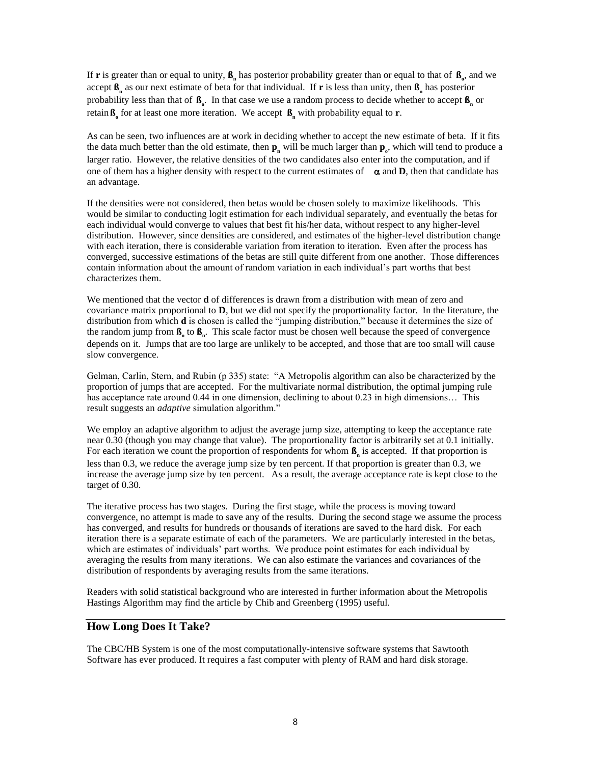If **r** is greater than or equal to unity,  $\beta_n$  has posterior probability greater than or equal to that of  $\beta_o$ , and we accept **ß<sup>n</sup>** as our next estimate of beta for that individual. If **r** is less than unity, then **ß<sup>n</sup>** has posterior probability less than that of **ß<sup>o</sup>** . In that case we use a random process to decide whether to accept **ß<sup>n</sup>** or retain **ß<sup>o</sup>** for at least one more iteration. We accept **ß<sup>n</sup>** with probability equal to **r**.

As can be seen, two influences are at work in deciding whether to accept the new estimate of beta. If it fits the data much better than the old estimate, then  $p_n$  will be much larger than  $p_o$ , which will tend to produce a larger ratio. However, the relative densities of the two candidates also enter into the computation, and if one of them has a higher density with respect to the current estimates of  $\alpha$  and **D**, then that candidate has an advantage.

If the densities were not considered, then betas would be chosen solely to maximize likelihoods. This would be similar to conducting logit estimation for each individual separately, and eventually the betas for each individual would converge to values that best fit his/her data, without respect to any higher-level distribution. However, since densities are considered, and estimates of the higher-level distribution change with each iteration, there is considerable variation from iteration to iteration. Even after the process has converged, successive estimations of the betas are still quite different from one another. Those differences contain information about the amount of random variation in each individual's part worths that best characterizes them.

We mentioned that the vector **d** of differences is drawn from a distribution with mean of zero and covariance matrix proportional to **D**, but we did not specify the proportionality factor. In the literature, the distribution from which **d** is chosen is called the "jumping distribution," because it determines the size of the random jump from  $\mathbf{B}$ <sub>0</sub> to  $\mathbf{B}$ <sub>n</sub>. This scale factor must be chosen well because the speed of convergence depends on it. Jumps that are too large are unlikely to be accepted, and those that are too small will cause slow convergence.

Gelman, Carlin, Stern, and Rubin (p 335) state: "A Metropolis algorithm can also be characterized by the proportion of jumps that are accepted. For the multivariate normal distribution, the optimal jumping rule has acceptance rate around 0.44 in one dimension, declining to about 0.23 in high dimensions... This result suggests an *adaptive* simulation algorithm."

We employ an adaptive algorithm to adjust the average jump size, attempting to keep the acceptance rate near 0.30 (though you may change that value). The proportionality factor is arbitrarily set at 0.1 initially. For each iteration we count the proportion of respondents for whom  $\beta_n$  is accepted. If that proportion is less than 0.3, we reduce the average jump size by ten percent. If that proportion is greater than 0.3, we increase the average jump size by ten percent. As a result, the average acceptance rate is kept close to the target of 0.30.

The iterative process has two stages. During the first stage, while the process is moving toward convergence, no attempt is made to save any of the results. During the second stage we assume the process has converged, and results for hundreds or thousands of iterations are saved to the hard disk. For each iteration there is a separate estimate of each of the parameters. We are particularly interested in the betas, which are estimates of individuals' part worths. We produce point estimates for each individual by averaging the results from many iterations. We can also estimate the variances and covariances of the distribution of respondents by averaging results from the same iterations.

Readers with solid statistical background who are interested in further information about the Metropolis Hastings Algorithm may find the article by Chib and Greenberg (1995) useful.

#### **How Long Does It Take?**

The CBC/HB System is one of the most computationally-intensive software systems that Sawtooth Software has ever produced. It requires a fast computer with plenty of RAM and hard disk storage.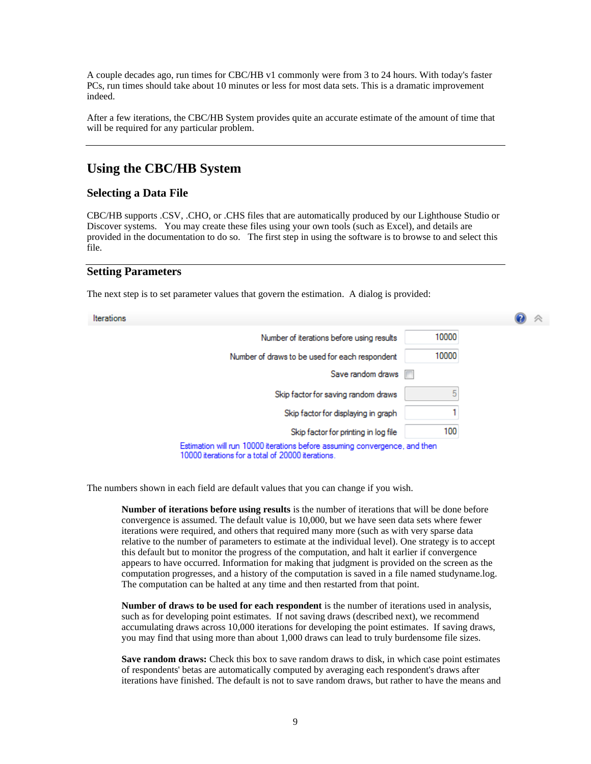A couple decades ago, run times for CBC/HB v1 commonly were from 3 to 24 hours. With today's faster PCs, run times should take about 10 minutes or less for most data sets. This is a dramatic improvement indeed.

After a few iterations, the CBC/HB System provides quite an accurate estimate of the amount of time that will be required for any particular problem.

## **Using the CBC/HB System**

#### **Selecting a Data File**

CBC/HB supports .CSV, .CHO, or .CHS files that are automatically produced by our Lighthouse Studio or Discover systems. You may create these files using your own tools (such as Excel), and details are provided in the documentation to do so. The first step in using the software is to browse to and select this file.

#### **Setting Parameters**

The next step is to set parameter values that govern the estimation. A dialog is provided:

lte

| erations |                                                                                                                                 |       |  |
|----------|---------------------------------------------------------------------------------------------------------------------------------|-------|--|
|          | Number of iterations before using results                                                                                       | 10000 |  |
|          | Number of draws to be used for each respondent                                                                                  | 10000 |  |
|          | Save random draws                                                                                                               |       |  |
|          | Skip factor for saving random draws                                                                                             |       |  |
|          | Skip factor for displaying in graph                                                                                             |       |  |
|          | Skip factor for printing in log file                                                                                            | 100   |  |
|          | Estimation will run 10000 iterations before assuming convergence, and then<br>10000 iterations for a total of 20000 iterations. |       |  |

The numbers shown in each field are default values that you can change if you wish.

**Number of iterations before using results** is the number of iterations that will be done before convergence is assumed. The default value is 10,000, but we have seen data sets where fewer iterations were required, and others that required many more (such as with very sparse data relative to the number of parameters to estimate at the individual level). One strategy is to accept this default but to monitor the progress of the computation, and halt it earlier if convergence appears to have occurred. Information for making that judgment is provided on the screen as the computation progresses, and a history of the computation is saved in a file named studyname.log. The computation can be halted at any time and then restarted from that point.

**Number of draws to be used for each respondent** is the number of iterations used in analysis, such as for developing point estimates. If not saving draws (described next), we recommend accumulating draws across 10,000 iterations for developing the point estimates. If saving draws, you may find that using more than about 1,000 draws can lead to truly burdensome file sizes.

**Save random draws:** Check this box to save random draws to disk, in which case point estimates of respondents' betas are automatically computed by averaging each respondent's draws after iterations have finished. The default is not to save random draws, but rather to have the means and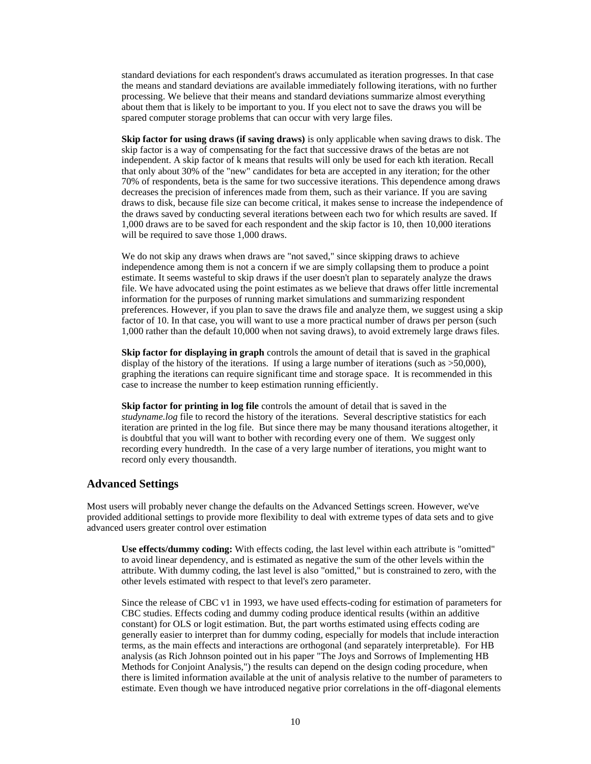standard deviations for each respondent's draws accumulated as iteration progresses. In that case the means and standard deviations are available immediately following iterations, with no further processing. We believe that their means and standard deviations summarize almost everything about them that is likely to be important to you. If you elect not to save the draws you will be spared computer storage problems that can occur with very large files.

**Skip factor for using draws (if saving draws)** is only applicable when saving draws to disk. The skip factor is a way of compensating for the fact that successive draws of the betas are not independent. A skip factor of k means that results will only be used for each kth iteration. Recall that only about 30% of the "new" candidates for beta are accepted in any iteration; for the other 70% of respondents, beta is the same for two successive iterations. This dependence among draws decreases the precision of inferences made from them, such as their variance. If you are saving draws to disk, because file size can become critical, it makes sense to increase the independence of the draws saved by conducting several iterations between each two for which results are saved. If 1,000 draws are to be saved for each respondent and the skip factor is 10, then 10,000 iterations will be required to save those 1,000 draws.

We do not skip any draws when draws are "not saved," since skipping draws to achieve independence among them is not a concern if we are simply collapsing them to produce a point estimate. It seems wasteful to skip draws if the user doesn't plan to separately analyze the draws file. We have advocated using the point estimates as we believe that draws offer little incremental information for the purposes of running market simulations and summarizing respondent preferences. However, if you plan to save the draws file and analyze them, we suggest using a skip factor of 10. In that case, you will want to use a more practical number of draws per person (such 1,000 rather than the default 10,000 when not saving draws), to avoid extremely large draws files.

**Skip factor for displaying in graph** controls the amount of detail that is saved in the graphical display of the history of the iterations. If using a large number of iterations (such as >50,000), graphing the iterations can require significant time and storage space. It is recommended in this case to increase the number to keep estimation running efficiently.

**Skip factor for printing in log file** controls the amount of detail that is saved in the *studyname.log* file to record the history of the iterations. Several descriptive statistics for each iteration are printed in the log file. But since there may be many thousand iterations altogether, it is doubtful that you will want to bother with recording every one of them. We suggest only recording every hundredth. In the case of a very large number of iterations, you might want to record only every thousandth.

#### **Advanced Settings**

Most users will probably never change the defaults on the Advanced Settings screen. However, we've provided additional settings to provide more flexibility to deal with extreme types of data sets and to give advanced users greater control over estimation

**Use effects/dummy coding:** With effects coding, the last level within each attribute is "omitted" to avoid linear dependency, and is estimated as negative the sum of the other levels within the attribute. With dummy coding, the last level is also "omitted," but is constrained to zero, with the other levels estimated with respect to that level's zero parameter.

Since the release of CBC v1 in 1993, we have used effects-coding for estimation of parameters for CBC studies. Effects coding and dummy coding produce identical results (within an additive constant) for OLS or logit estimation. But, the part worths estimated using effects coding are generally easier to interpret than for dummy coding, especially for models that include interaction terms, as the main effects and interactions are orthogonal (and separately interpretable). For HB analysis (as Rich Johnson pointed out in his paper "The Joys and Sorrows of Implementing HB Methods for Conjoint Analysis,") the results can depend on the design coding procedure, when there is limited information available at the unit of analysis relative to the number of parameters to estimate. Even though we have introduced negative prior correlations in the off-diagonal elements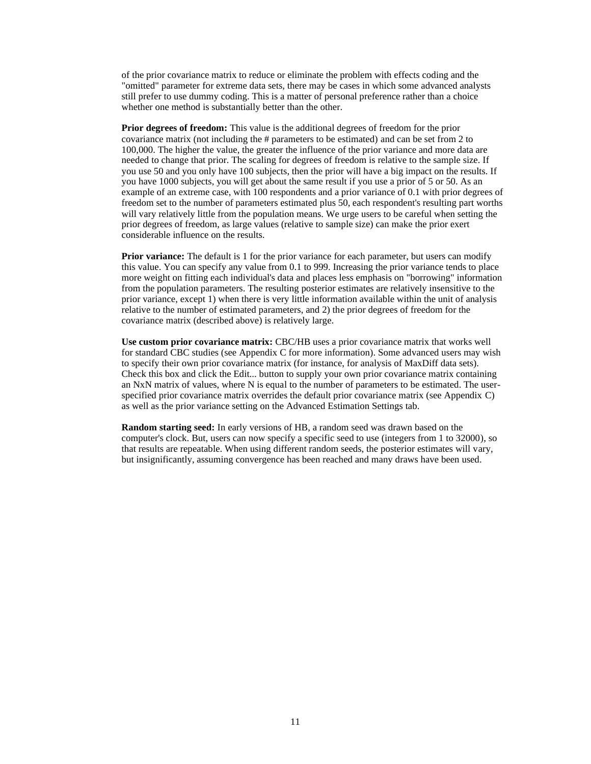of the prior covariance matrix to reduce or eliminate the problem with effects coding and the "omitted" parameter for extreme data sets, there may be cases in which some advanced analysts still prefer to use dummy coding. This is a matter of personal preference rather than a choice whether one method is substantially better than the other.

**Prior degrees of freedom:** This value is the additional degrees of freedom for the prior covariance matrix (not including the # parameters to be estimated) and can be set from 2 to 100,000. The higher the value, the greater the influence of the prior variance and more data are needed to change that prior. The scaling for degrees of freedom is relative to the sample size. If you use 50 and you only have 100 subjects, then the prior will have a big impact on the results. If you have 1000 subjects, you will get about the same result if you use a prior of 5 or 50. As an example of an extreme case, with 100 respondents and a prior variance of 0.1 with prior degrees of freedom set to the number of parameters estimated plus 50, each respondent's resulting part worths will vary relatively little from the population means. We urge users to be careful when setting the prior degrees of freedom, as large values (relative to sample size) can make the prior exert considerable influence on the results.

**Prior variance:** The default is 1 for the prior variance for each parameter, but users can modify this value. You can specify any value from 0.1 to 999. Increasing the prior variance tends to place more weight on fitting each individual's data and places less emphasis on "borrowing" information from the population parameters. The resulting posterior estimates are relatively insensitive to the prior variance, except 1) when there is very little information available within the unit of analysis relative to the number of estimated parameters, and 2) the prior degrees of freedom for the covariance matrix (described above) is relatively large.

**Use custom prior covariance matrix:** CBC/HB uses a prior covariance matrix that works well for standard CBC studies (see Appendix C for more information). Some advanced users may wish to specify their own prior covariance matrix (for instance, for analysis of MaxDiff data sets). Check this box and click the Edit... button to supply your own prior covariance matrix containing an NxN matrix of values, where N is equal to the number of parameters to be estimated. The userspecified prior covariance matrix overrides the default prior covariance matrix (see Appendix C) as well as the prior variance setting on the Advanced Estimation Settings tab.

**Random starting seed:** In early versions of HB, a random seed was drawn based on the computer's clock. But, users can now specify a specific seed to use (integers from 1 to 32000), so that results are repeatable. When using different random seeds, the posterior estimates will vary, but insignificantly, assuming convergence has been reached and many draws have been used.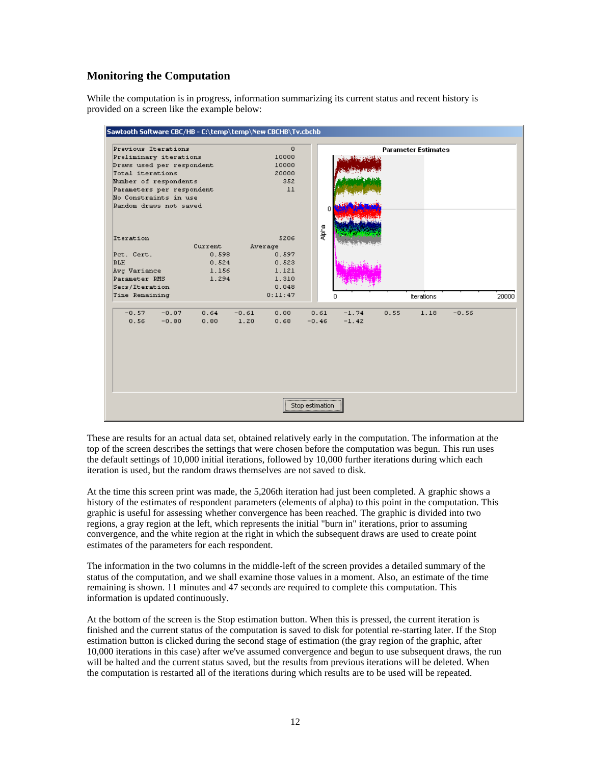#### **Monitoring the Computation**

While the computation is in progress, information summarizing its current status and recent history is provided on a screen like the example below:



These are results for an actual data set, obtained relatively early in the computation. The information at the top of the screen describes the settings that were chosen before the computation was begun. This run uses the default settings of 10,000 initial iterations, followed by 10,000 further iterations during which each iteration is used, but the random draws themselves are not saved to disk.

At the time this screen print was made, the 5,206th iteration had just been completed. A graphic shows a history of the estimates of respondent parameters (elements of alpha) to this point in the computation. This graphic is useful for assessing whether convergence has been reached. The graphic is divided into two regions, a gray region at the left, which represents the initial "burn in" iterations, prior to assuming convergence, and the white region at the right in which the subsequent draws are used to create point estimates of the parameters for each respondent.

The information in the two columns in the middle-left of the screen provides a detailed summary of the status of the computation, and we shall examine those values in a moment. Also, an estimate of the time remaining is shown. 11 minutes and 47 seconds are required to complete this computation. This information is updated continuously.

At the bottom of the screen is the Stop estimation button. When this is pressed, the current iteration is finished and the current status of the computation is saved to disk for potential re-starting later. If the Stop estimation button is clicked during the second stage of estimation (the gray region of the graphic, after 10,000 iterations in this case) after we've assumed convergence and begun to use subsequent draws, the run will be halted and the current status saved, but the results from previous iterations will be deleted. When the computation is restarted all of the iterations during which results are to be used will be repeated.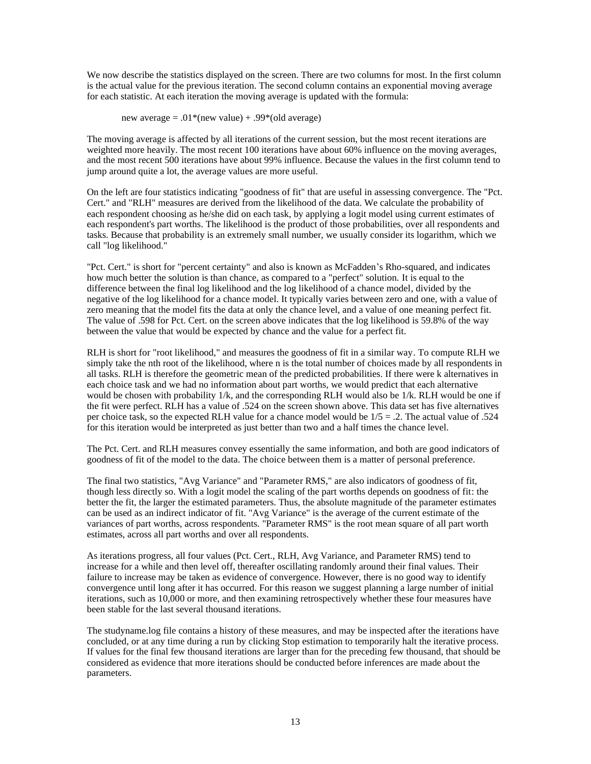We now describe the statistics displayed on the screen. There are two columns for most. In the first column is the actual value for the previous iteration. The second column contains an exponential moving average for each statistic. At each iteration the moving average is updated with the formula:

new average  $= .01$ <sup>\*</sup>(new value) + .99<sup>\*</sup>(old average)

The moving average is affected by all iterations of the current session, but the most recent iterations are weighted more heavily. The most recent 100 iterations have about 60% influence on the moving averages, and the most recent 500 iterations have about 99% influence. Because the values in the first column tend to jump around quite a lot, the average values are more useful.

On the left are four statistics indicating "goodness of fit" that are useful in assessing convergence. The "Pct. Cert." and "RLH" measures are derived from the likelihood of the data. We calculate the probability of each respondent choosing as he/she did on each task, by applying a logit model using current estimates of each respondent's part worths. The likelihood is the product of those probabilities, over all respondents and tasks. Because that probability is an extremely small number, we usually consider its logarithm, which we call "log likelihood."

"Pct. Cert." is short for "percent certainty" and also is known as McFadden's Rho-squared, and indicates how much better the solution is than chance, as compared to a "perfect" solution. It is equal to the difference between the final log likelihood and the log likelihood of a chance model, divided by the negative of the log likelihood for a chance model. It typically varies between zero and one, with a value of zero meaning that the model fits the data at only the chance level, and a value of one meaning perfect fit. The value of .598 for Pct. Cert. on the screen above indicates that the log likelihood is 59.8% of the way between the value that would be expected by chance and the value for a perfect fit.

RLH is short for "root likelihood," and measures the goodness of fit in a similar way. To compute RLH we simply take the nth root of the likelihood, where n is the total number of choices made by all respondents in all tasks. RLH is therefore the geometric mean of the predicted probabilities. If there were k alternatives in each choice task and we had no information about part worths, we would predict that each alternative would be chosen with probability 1/k, and the corresponding RLH would also be 1/k. RLH would be one if the fit were perfect. RLH has a value of .524 on the screen shown above. This data set has five alternatives per choice task, so the expected RLH value for a chance model would be  $1/5 = .2$ . The actual value of .524 for this iteration would be interpreted as just better than two and a half times the chance level.

The Pct. Cert. and RLH measures convey essentially the same information, and both are good indicators of goodness of fit of the model to the data. The choice between them is a matter of personal preference.

The final two statistics, "Avg Variance" and "Parameter RMS," are also indicators of goodness of fit, though less directly so. With a logit model the scaling of the part worths depends on goodness of fit: the better the fit, the larger the estimated parameters. Thus, the absolute magnitude of the parameter estimates can be used as an indirect indicator of fit. "Avg Variance" is the average of the current estimate of the variances of part worths, across respondents. "Parameter RMS" is the root mean square of all part worth estimates, across all part worths and over all respondents.

As iterations progress, all four values (Pct. Cert., RLH, Avg Variance, and Parameter RMS) tend to increase for a while and then level off, thereafter oscillating randomly around their final values. Their failure to increase may be taken as evidence of convergence. However, there is no good way to identify convergence until long after it has occurred. For this reason we suggest planning a large number of initial iterations, such as 10,000 or more, and then examining retrospectively whether these four measures have been stable for the last several thousand iterations.

The studyname.log file contains a history of these measures, and may be inspected after the iterations have concluded, or at any time during a run by clicking Stop estimation to temporarily halt the iterative process. If values for the final few thousand iterations are larger than for the preceding few thousand, that should be considered as evidence that more iterations should be conducted before inferences are made about the parameters.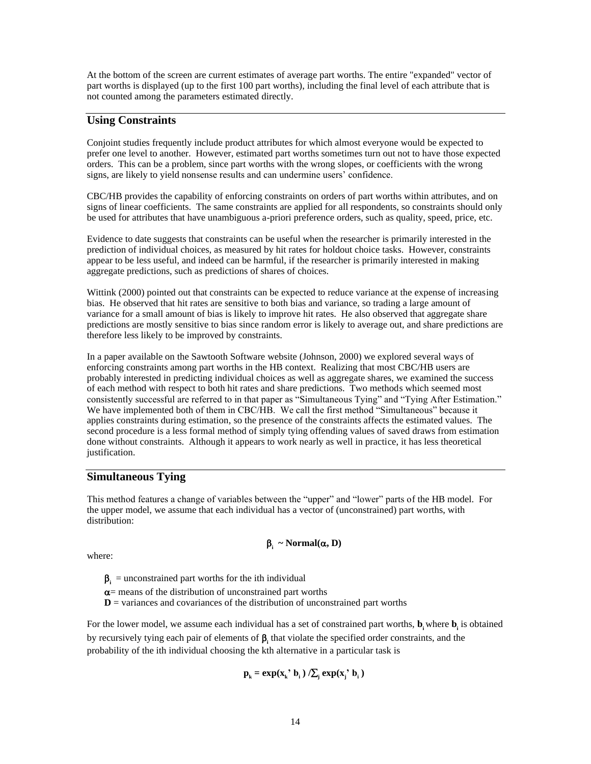At the bottom of the screen are current estimates of average part worths. The entire "expanded" vector of part worths is displayed (up to the first 100 part worths), including the final level of each attribute that is not counted among the parameters estimated directly.

#### **Using Constraints**

Conjoint studies frequently include product attributes for which almost everyone would be expected to prefer one level to another. However, estimated part worths sometimes turn out not to have those expected orders. This can be a problem, since part worths with the wrong slopes, or coefficients with the wrong signs, are likely to yield nonsense results and can undermine users' confidence.

CBC/HB provides the capability of enforcing constraints on orders of part worths within attributes, and on signs of linear coefficients. The same constraints are applied for all respondents, so constraints should only be used for attributes that have unambiguous a-priori preference orders, such as quality, speed, price, etc.

Evidence to date suggests that constraints can be useful when the researcher is primarily interested in the prediction of individual choices, as measured by hit rates for holdout choice tasks. However, constraints appear to be less useful, and indeed can be harmful, if the researcher is primarily interested in making aggregate predictions, such as predictions of shares of choices.

Wittink (2000) pointed out that constraints can be expected to reduce variance at the expense of increasing bias. He observed that hit rates are sensitive to both bias and variance, so trading a large amount of variance for a small amount of bias is likely to improve hit rates. He also observed that aggregate share predictions are mostly sensitive to bias since random error is likely to average out, and share predictions are therefore less likely to be improved by constraints.

In a paper available on the Sawtooth Software website (Johnson, 2000) we explored several ways of enforcing constraints among part worths in the HB context. Realizing that most CBC/HB users are probably interested in predicting individual choices as well as aggregate shares, we examined the success of each method with respect to both hit rates and share predictions. Two methods which seemed most consistently successful are referred to in that paper as "Simultaneous Tying" and "Tying After Estimation." We have implemented both of them in CBC/HB. We call the first method "Simultaneous" because it applies constraints during estimation, so the presence of the constraints affects the estimated values. The second procedure is a less formal method of simply tying offending values of saved draws from estimation done without constraints. Although it appears to work nearly as well in practice, it has less theoretical justification.

#### **Simultaneous Tying**

This method features a change of variables between the "upper" and "lower" parts of the HB model. For the upper model, we assume that each individual has a vector of (unconstrained) part worths, with distribution:

#### $\beta_i \sim \text{Normal}(\alpha, D)$

where:

 $\beta_i$  = unconstrained part worths for the ith individual

 $\alpha$  = means of the distribution of unconstrained part worths

 $D$  = variances and covariances of the distribution of unconstrained part worths

For the lower model, we assume each individual has a set of constrained part worths,  $b_i$  where  $b_i$  is obtained by recursively tying each pair of elements of  $\beta$ <sub>i</sub> that violate the specified order constraints, and the probability of the ith individual choosing the kth alternative in a particular task is

$$
\mathbf{p}_{k} = \exp(\mathbf{x}_{k}^{*}, \mathbf{b}_{i}) / \sum_{j} \exp(\mathbf{x}_{j}^{*}, \mathbf{b}_{i})
$$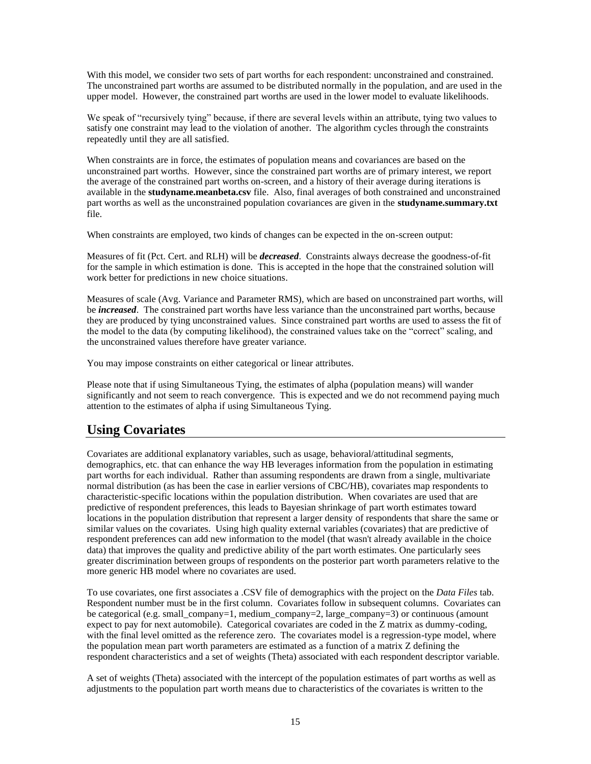With this model, we consider two sets of part worths for each respondent: unconstrained and constrained. The unconstrained part worths are assumed to be distributed normally in the population, and are used in the upper model. However, the constrained part worths are used in the lower model to evaluate likelihoods.

We speak of "recursively tying" because, if there are several levels within an attribute, tying two values to satisfy one constraint may lead to the violation of another. The algorithm cycles through the constraints repeatedly until they are all satisfied.

When constraints are in force, the estimates of population means and covariances are based on the unconstrained part worths. However, since the constrained part worths are of primary interest, we report the average of the constrained part worths on-screen, and a history of their average during iterations is available in the **studyname.meanbeta.csv** file. Also, final averages of both constrained and unconstrained part worths as well as the unconstrained population covariances are given in the **studyname.summary.txt** file.

When constraints are employed, two kinds of changes can be expected in the on-screen output:

Measures of fit (Pct. Cert. and RLH) will be *decreased*. Constraints always decrease the goodness-of-fit for the sample in which estimation is done. This is accepted in the hope that the constrained solution will work better for predictions in new choice situations.

Measures of scale (Avg. Variance and Parameter RMS), which are based on unconstrained part worths, will be *increased*. The constrained part worths have less variance than the unconstrained part worths, because they are produced by tying unconstrained values. Since constrained part worths are used to assess the fit of the model to the data (by computing likelihood), the constrained values take on the "correct" scaling, and the unconstrained values therefore have greater variance.

You may impose constraints on either categorical or linear attributes.

Please note that if using Simultaneous Tying, the estimates of alpha (population means) will wander significantly and not seem to reach convergence. This is expected and we do not recommend paying much attention to the estimates of alpha if using Simultaneous Tying.

## **Using Covariates**

Covariates are additional explanatory variables, such as usage, behavioral/attitudinal segments, demographics, etc. that can enhance the way HB leverages information from the population in estimating part worths for each individual. Rather than assuming respondents are drawn from a single, multivariate normal distribution (as has been the case in earlier versions of CBC/HB), covariates map respondents to characteristic-specific locations within the population distribution. When covariates are used that are predictive of respondent preferences, this leads to Bayesian shrinkage of part worth estimates toward locations in the population distribution that represent a larger density of respondents that share the same or similar values on the covariates. Using high quality external variables (covariates) that are predictive of respondent preferences can add new information to the model (that wasn't already available in the choice data) that improves the quality and predictive ability of the part worth estimates. One particularly sees greater discrimination between groups of respondents on the posterior part worth parameters relative to the more generic HB model where no covariates are used.

To use covariates, one first associates a .CSV file of demographics with the project on the *Data Files* tab. Respondent number must be in the first column. Covariates follow in subsequent columns. Covariates can be categorical (e.g. small\_company=1, medium\_company=2, large\_company=3) or continuous (amount expect to pay for next automobile). Categorical covariates are coded in the Z matrix as dummy-coding, with the final level omitted as the reference zero. The covariates model is a regression-type model, where the population mean part worth parameters are estimated as a function of a matrix Z defining the respondent characteristics and a set of weights (Theta) associated with each respondent descriptor variable.

A set of weights (Theta) associated with the intercept of the population estimates of part worths as well as adjustments to the population part worth means due to characteristics of the covariates is written to the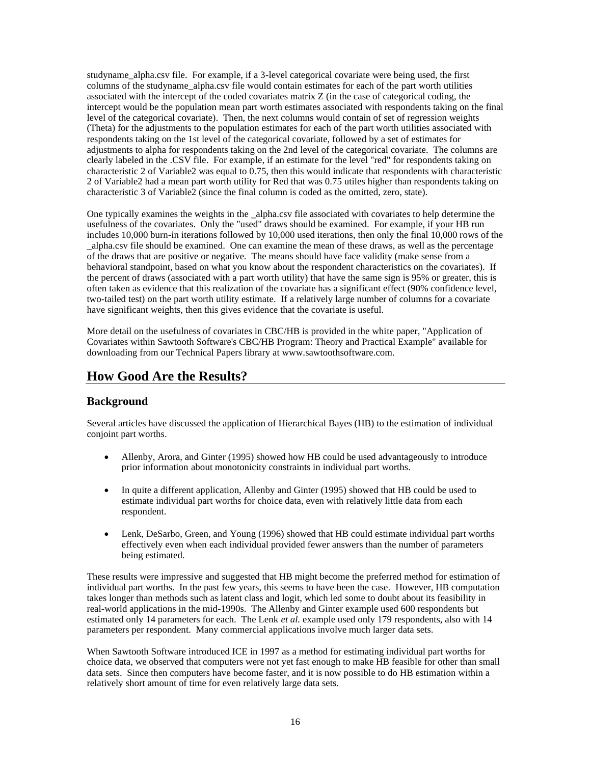studyname\_alpha.csv file. For example, if a 3-level categorical covariate were being used, the first columns of the studyname\_alpha.csv file would contain estimates for each of the part worth utilities associated with the intercept of the coded covariates matrix Z (in the case of categorical coding, the intercept would be the population mean part worth estimates associated with respondents taking on the final level of the categorical covariate). Then, the next columns would contain of set of regression weights (Theta) for the adjustments to the population estimates for each of the part worth utilities associated with respondents taking on the 1st level of the categorical covariate, followed by a set of estimates for adjustments to alpha for respondents taking on the 2nd level of the categorical covariate. The columns are clearly labeled in the .CSV file. For example, if an estimate for the level "red" for respondents taking on characteristic 2 of Variable2 was equal to  $0.75$ , then this would indicate that respondents with characteristic 2 of Variable2 had a mean part worth utility for Red that was 0.75 utiles higher than respondents taking on characteristic 3 of Variable2 (since the final column is coded as the omitted, zero, state).

One typically examines the weights in the \_alpha.csv file associated with covariates to help determine the usefulness of the covariates. Only the "used" draws should be examined. For example, if your HB run includes 10,000 burn-in iterations followed by 10,000 used iterations, then only the final 10,000 rows of the \_alpha.csv file should be examined. One can examine the mean of these draws, as well as the percentage of the draws that are positive or negative. The means should have face validity (make sense from a behavioral standpoint, based on what you know about the respondent characteristics on the covariates). If the percent of draws (associated with a part worth utility) that have the same sign is 95% or greater, this is often taken as evidence that this realization of the covariate has a significant effect (90% confidence level, two-tailed test) on the part worth utility estimate. If a relatively large number of columns for a covariate have significant weights, then this gives evidence that the covariate is useful.

More detail on the usefulness of covariates in CBC/HB is provided in the white paper, "Application of Covariates within Sawtooth Software's CBC/HB Program: Theory and Practical Example" available for downloading from our Technical Papers library at www.sawtoothsoftware.com.

## **How Good Are the Results?**

#### **Background**

Several articles have discussed the application of Hierarchical Bayes (HB) to the estimation of individual conjoint part worths.

- Allenby, Arora, and Ginter (1995) showed how HB could be used advantageously to introduce prior information about monotonicity constraints in individual part worths.
- In quite a different application, Allenby and Ginter (1995) showed that HB could be used to estimate individual part worths for choice data, even with relatively little data from each respondent.
- Lenk, DeSarbo, Green, and Young (1996) showed that HB could estimate individual part worths effectively even when each individual provided fewer answers than the number of parameters being estimated.

These results were impressive and suggested that HB might become the preferred method for estimation of individual part worths. In the past few years, this seems to have been the case. However, HB computation takes longer than methods such as latent class and logit, which led some to doubt about its feasibility in real-world applications in the mid-1990s. The Allenby and Ginter example used 600 respondents but estimated only 14 parameters for each. The Lenk *et al.* example used only 179 respondents, also with 14 parameters per respondent. Many commercial applications involve much larger data sets.

When Sawtooth Software introduced ICE in 1997 as a method for estimating individual part worths for choice data, we observed that computers were not yet fast enough to make HB feasible for other than small data sets. Since then computers have become faster, and it is now possible to do HB estimation within a relatively short amount of time for even relatively large data sets.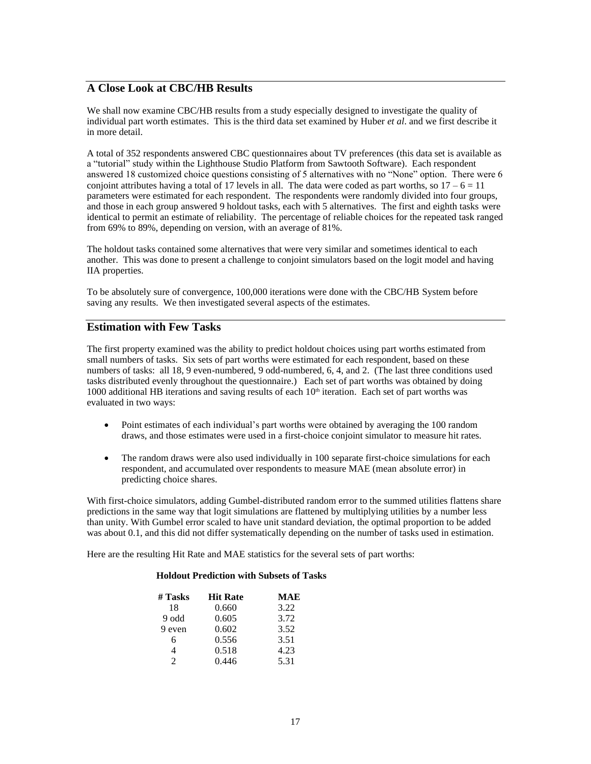#### **A Close Look at CBC/HB Results**

We shall now examine CBC/HB results from a study especially designed to investigate the quality of individual part worth estimates. This is the third data set examined by Huber *et al*. and we first describe it in more detail.

A total of 352 respondents answered CBC questionnaires about TV preferences (this data set is available as a "tutorial" study within the Lighthouse Studio Platform from Sawtooth Software). Each respondent answered 18 customized choice questions consisting of 5 alternatives with no "None" option. There were 6 conjoint attributes having a total of 17 levels in all. The data were coded as part worths, so  $17 - 6 = 11$ parameters were estimated for each respondent. The respondents were randomly divided into four groups, and those in each group answered 9 holdout tasks, each with 5 alternatives. The first and eighth tasks were identical to permit an estimate of reliability. The percentage of reliable choices for the repeated task ranged from 69% to 89%, depending on version, with an average of 81%.

The holdout tasks contained some alternatives that were very similar and sometimes identical to each another. This was done to present a challenge to conjoint simulators based on the logit model and having IIA properties.

To be absolutely sure of convergence, 100,000 iterations were done with the CBC/HB System before saving any results. We then investigated several aspects of the estimates.

#### **Estimation with Few Tasks**

The first property examined was the ability to predict holdout choices using part worths estimated from small numbers of tasks. Six sets of part worths were estimated for each respondent, based on these numbers of tasks: all 18, 9 even-numbered, 9 odd-numbered, 6, 4, and 2. (The last three conditions used tasks distributed evenly throughout the questionnaire.) Each set of part worths was obtained by doing 1000 additional HB iterations and saving results of each  $10<sup>th</sup>$  iteration. Each set of part worths was evaluated in two ways:

- Point estimates of each individual's part worths were obtained by averaging the 100 random draws, and those estimates were used in a first-choice conjoint simulator to measure hit rates.
- The random draws were also used individually in 100 separate first-choice simulations for each respondent, and accumulated over respondents to measure MAE (mean absolute error) in predicting choice shares.

With first-choice simulators, adding Gumbel-distributed random error to the summed utilities flattens share predictions in the same way that logit simulations are flattened by multiplying utilities by a number less than unity. With Gumbel error scaled to have unit standard deviation, the optimal proportion to be added was about 0.1, and this did not differ systematically depending on the number of tasks used in estimation.

Here are the resulting Hit Rate and MAE statistics for the several sets of part worths:

#### **Holdout Prediction with Subsets of Tasks**

| $#$ Tasks | <b>Hit Rate</b> | MAE  |
|-----------|-----------------|------|
| 18        | 0.660           | 3.22 |
| 9 odd     | 0.605           | 3.72 |
| 9 even    | 0.602           | 3.52 |
| 6         | 0.556           | 3.51 |
| 4         | 0.518           | 4.23 |
| っ         | 0.446           | 5.31 |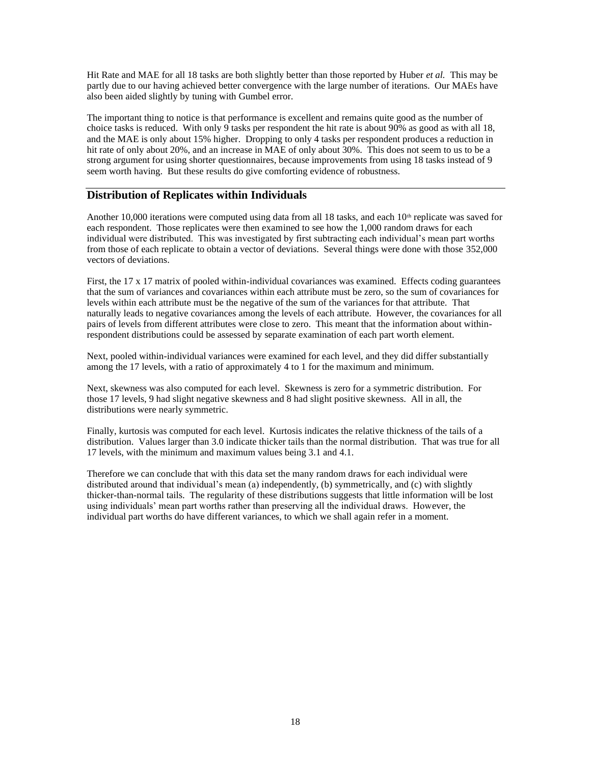Hit Rate and MAE for all 18 tasks are both slightly better than those reported by Huber *et al.* This may be partly due to our having achieved better convergence with the large number of iterations. Our MAEs have also been aided slightly by tuning with Gumbel error.

The important thing to notice is that performance is excellent and remains quite good as the number of choice tasks is reduced. With only 9 tasks per respondent the hit rate is about 90% as good as with all 18, and the MAE is only about 15% higher. Dropping to only 4 tasks per respondent produces a reduction in hit rate of only about 20%, and an increase in MAE of only about 30%. This does not seem to us to be a strong argument for using shorter questionnaires, because improvements from using 18 tasks instead of 9 seem worth having. But these results do give comforting evidence of robustness.

#### **Distribution of Replicates within Individuals**

Another 10,000 iterations were computed using data from all 18 tasks, and each 10<sup>th</sup> replicate was saved for each respondent. Those replicates were then examined to see how the 1,000 random draws for each individual were distributed. This was investigated by first subtracting each individual's mean part worths from those of each replicate to obtain a vector of deviations. Several things were done with those 352,000 vectors of deviations.

First, the 17 x 17 matrix of pooled within-individual covariances was examined. Effects coding guarantees that the sum of variances and covariances within each attribute must be zero, so the sum of covariances for levels within each attribute must be the negative of the sum of the variances for that attribute. That naturally leads to negative covariances among the levels of each attribute. However, the covariances for all pairs of levels from different attributes were close to zero. This meant that the information about withinrespondent distributions could be assessed by separate examination of each part worth element.

Next, pooled within-individual variances were examined for each level, and they did differ substantially among the 17 levels, with a ratio of approximately 4 to 1 for the maximum and minimum.

Next, skewness was also computed for each level. Skewness is zero for a symmetric distribution. For those 17 levels, 9 had slight negative skewness and 8 had slight positive skewness. All in all, the distributions were nearly symmetric.

Finally, kurtosis was computed for each level. Kurtosis indicates the relative thickness of the tails of a distribution. Values larger than 3.0 indicate thicker tails than the normal distribution. That was true for all 17 levels, with the minimum and maximum values being 3.1 and 4.1.

Therefore we can conclude that with this data set the many random draws for each individual were distributed around that individual's mean (a) independently, (b) symmetrically, and (c) with slightly thicker-than-normal tails. The regularity of these distributions suggests that little information will be lost using individuals' mean part worths rather than preserving all the individual draws. However, the individual part worths do have different variances, to which we shall again refer in a moment.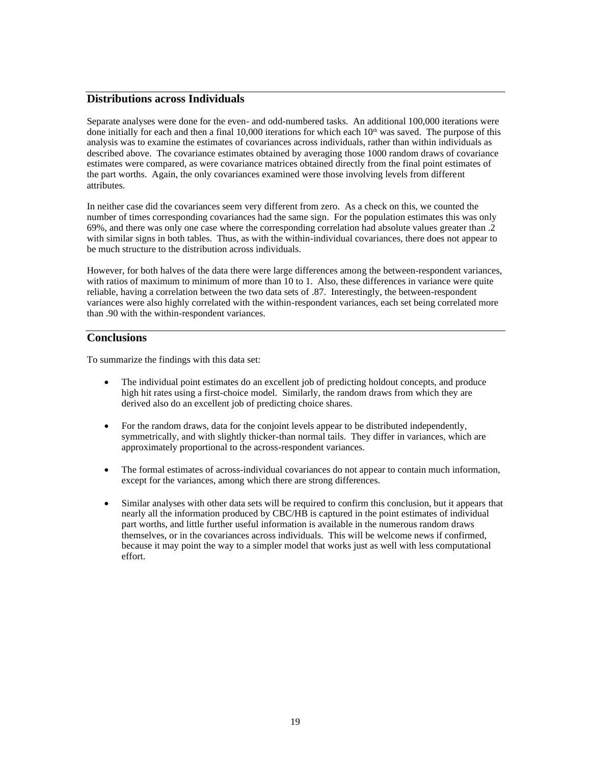#### **Distributions across Individuals**

Separate analyses were done for the even- and odd-numbered tasks. An additional 100,000 iterations were done initially for each and then a final 10,000 iterations for which each  $10<sup>th</sup>$  was saved. The purpose of this analysis was to examine the estimates of covariances across individuals, rather than within individuals as described above. The covariance estimates obtained by averaging those 1000 random draws of covariance estimates were compared, as were covariance matrices obtained directly from the final point estimates of the part worths. Again, the only covariances examined were those involving levels from different attributes.

In neither case did the covariances seem very different from zero. As a check on this, we counted the number of times corresponding covariances had the same sign. For the population estimates this was only 69%, and there was only one case where the corresponding correlation had absolute values greater than .2 with similar signs in both tables. Thus, as with the within-individual covariances, there does not appear to be much structure to the distribution across individuals.

However, for both halves of the data there were large differences among the between-respondent variances, with ratios of maximum to minimum of more than 10 to 1. Also, these differences in variance were quite reliable, having a correlation between the two data sets of .87. Interestingly, the between-respondent variances were also highly correlated with the within-respondent variances, each set being correlated more than .90 with the within-respondent variances.

#### **Conclusions**

To summarize the findings with this data set:

- The individual point estimates do an excellent job of predicting holdout concepts, and produce high hit rates using a first-choice model. Similarly, the random draws from which they are derived also do an excellent job of predicting choice shares.
- For the random draws, data for the conjoint levels appear to be distributed independently, symmetrically, and with slightly thicker-than normal tails. They differ in variances, which are approximately proportional to the across-respondent variances.
- The formal estimates of across-individual covariances do not appear to contain much information, except for the variances, among which there are strong differences.
- Similar analyses with other data sets will be required to confirm this conclusion, but it appears that nearly all the information produced by CBC/HB is captured in the point estimates of individual part worths, and little further useful information is available in the numerous random draws themselves, or in the covariances across individuals. This will be welcome news if confirmed, because it may point the way to a simpler model that works just as well with less computational effort.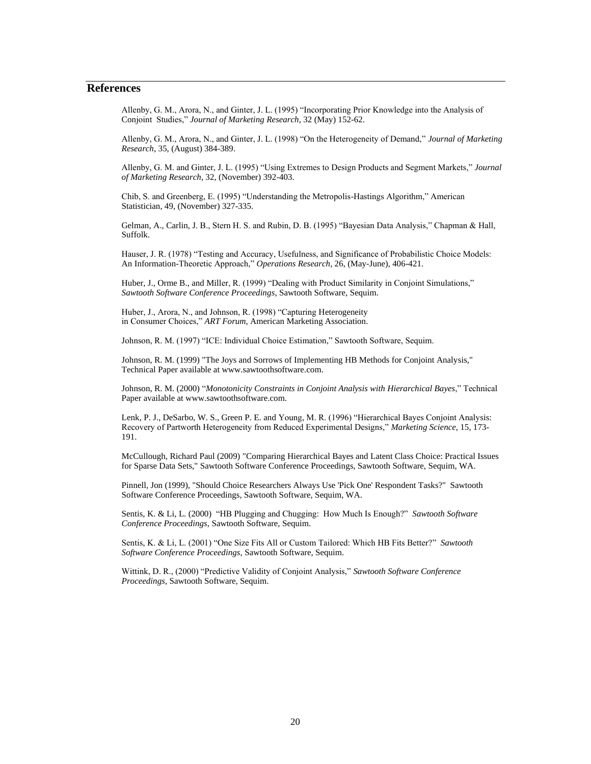#### **References**

Allenby, G. M., Arora, N., and Ginter, J. L. (1995) "Incorporating Prior Knowledge into the Analysis of Conjoint Studies," *Journal of Marketing Research*, 32 (May) 152-62.

Allenby, G. M., Arora, N., and Ginter, J. L. (1998) "On the Heterogeneity of Demand," *Journal of Marketing Research*, 35, (August) 384-389.

Allenby, G. M. and Ginter, J. L. (1995) "Using Extremes to Design Products and Segment Markets," *Journal of Marketing Research*, 32, (November) 392-403.

Chib, S. and Greenberg, E. (1995) "Understanding the Metropolis-Hastings Algorithm," American Statistician, 49, (November) 327-335.

Gelman, A., Carlin, J. B., Stern H. S. and Rubin, D. B. (1995) "Bayesian Data Analysis," Chapman & Hall, Suffolk.

Hauser, J. R. (1978) "Testing and Accuracy, Usefulness, and Significance of Probabilistic Choice Models: An Information-Theoretic Approach," *Operations Research*, 26, (May-June), 406-421.

Huber, J., Orme B., and Miller, R. (1999) "Dealing with Product Similarity in Conjoint Simulations," *Sawtooth Software Conference Proceedings*, Sawtooth Software, Sequim.

Huber, J., Arora, N., and Johnson, R. (1998) "Capturing Heterogeneity in Consumer Choices," *ART Forum*, American Marketing Association.

Johnson, R. M. (1997) "ICE: Individual Choice Estimation," Sawtooth Software, Sequim.

Johnson, R. M. (1999) "The Joys and Sorrows of Implementing HB Methods for Conjoint Analysis," Technical Paper available at www.sawtoothsoftware.com.

Johnson, R. M. (2000) "*Monotonicity Constraints in Conjoint Analysis with Hierarchical Bayes*," Technical Paper available at www.sawtoothsoftware.com.

Lenk, P. J., DeSarbo, W. S., Green P. E. and Young, M. R. (1996) "Hierarchical Bayes Conjoint Analysis: Recovery of Partworth Heterogeneity from Reduced Experimental Designs," *Marketing Science*, 15, 173- 191.

McCullough, Richard Paul (2009) "Comparing Hierarchical Bayes and Latent Class Choice: Practical Issues for Sparse Data Sets," Sawtooth Software Conference Proceedings, Sawtooth Software, Sequim, WA.

Pinnell, Jon (1999), "Should Choice Researchers Always Use 'Pick One' Respondent Tasks?" Sawtooth Software Conference Proceedings, Sawtooth Software, Sequim, WA.

Sentis, K. & Li, L. (2000) "HB Plugging and Chugging: How Much Is Enough?" *Sawtooth Software Conference Proceedings,* Sawtooth Software, Sequim.

Sentis, K. & Li, L. (2001) "One Size Fits All or Custom Tailored: Which HB Fits Better?" *Sawtooth Software Conference Proceedings,* Sawtooth Software, Sequim.

Wittink, D. R., (2000) "Predictive Validity of Conjoint Analysis," *Sawtooth Software Conference Proceedings*, Sawtooth Software, Sequim.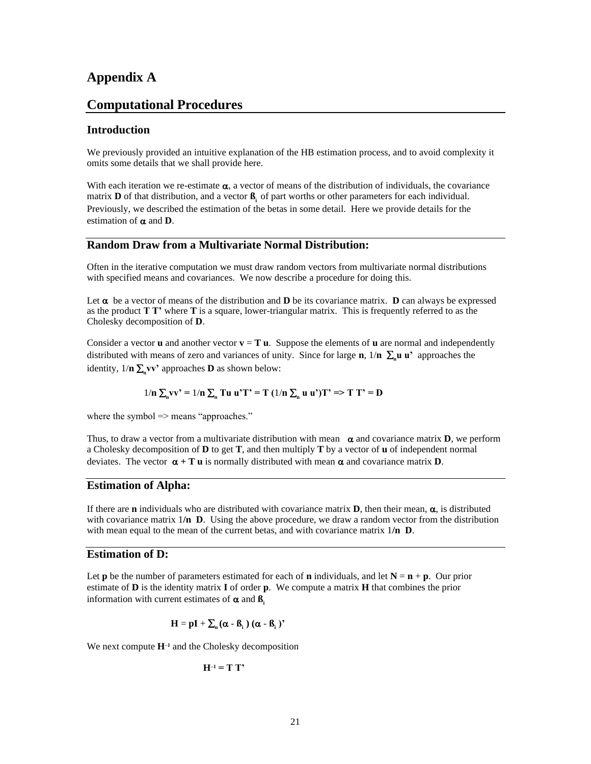#### **Appendix A**

#### **Computational Procedures**

#### **Introduction**

We previously provided an intuitive explanation of the HB estimation process, and to avoid complexity it omits some details that we shall provide here.

With each iteration we re-estimate  $\alpha$ , a vector of means of the distribution of individuals, the covariance matrix **D** of that distribution, and a vector **ß**, of part worths or other parameters for each individual. Previously, we described the estimation of the betas in some detail. Here we provide details for the estimation of  $\alpha$  and **D**.

#### **Random Draw from a Multivariate Normal Distribution:**

Often in the iterative computation we must draw random vectors from multivariate normal distributions with specified means and covariances. We now describe a procedure for doing this.

Let  $\alpha$  be a vector of means of the distribution and **D** be its covariance matrix. **D** can always be expressed as the product **T T'** where **T** is a square, lower-triangular matrix. This is frequently referred to as the Cholesky decomposition of **D**.

Consider a vector **u** and another vector  $\mathbf{v} = \mathbf{T} \mathbf{u}$ . Suppose the elements of **u** are normal and independently distributed with means of zero and variances of unity. Since for large **n**,  $1/n \sum_{n} u u^*$  approaches the identity,  $1/n \sum_{n} v v'$  approaches **D** as shown below:

$$
1/n \sum_{n} v v^{*} = 1/n \sum_{n} Tu u^{*} T^{*} = T (1/n \sum_{n} u u^{*}) T^{*} \Rightarrow T T^{*} = D
$$

where the symbol => means "approaches."

Thus, to draw a vector from a multivariate distribution with mean  $\alpha$  and covariance matrix **D**, we perform a Cholesky decomposition of **D** to get **T**, and then multiply **T** by a vector of **u** of independent normal deviates. The vector  $\alpha + T u$  is normally distributed with mean  $\alpha$  and covariance matrix **D**.

#### **Estimation of Alpha:**

If there are **n** individuals who are distributed with covariance matrix **D**, then their mean,  $\alpha$ , is distributed with covariance matrix 1/**n D**. Using the above procedure, we draw a random vector from the distribution with mean equal to the mean of the current betas, and with covariance matrix 1**/n D**.

#### **Estimation of D:**

Let **p** be the number of parameters estimated for each of **n** individuals, and let  $N = n + p$ . Our prior estimate of **D** is the identity matrix **I** of order **p**. We compute a matrix **H** that combines the prior information with current estimates of  $\alpha$  and  $\beta$ .

$$
H = pI + \sum_{n} (\alpha - \beta_{i}) (\alpha - \beta_{i})
$$

We next compute  $H^{-1}$  and the Cholesky decomposition

$$
H^{-1} = T T'
$$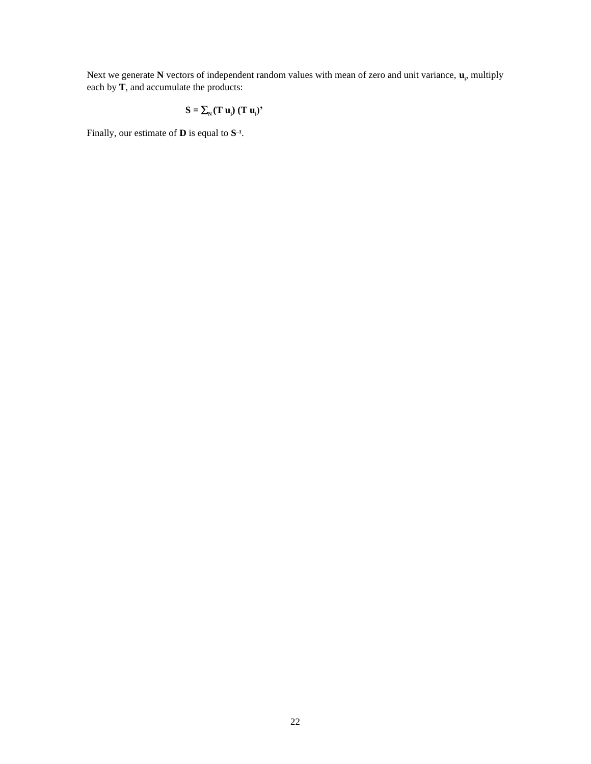Next we generate N vectors of independent random values with mean of zero and unit variance,  $\mathbf{u}_i$ , multiply each by **T**, and accumulate the products:

$$
S = \sum_{N} (\mathbf{T} \mathbf{u}_{i}) (\mathbf{T} \mathbf{u}_{i})^{2}
$$

Finally, our estimate of **D** is equal to **S –1** .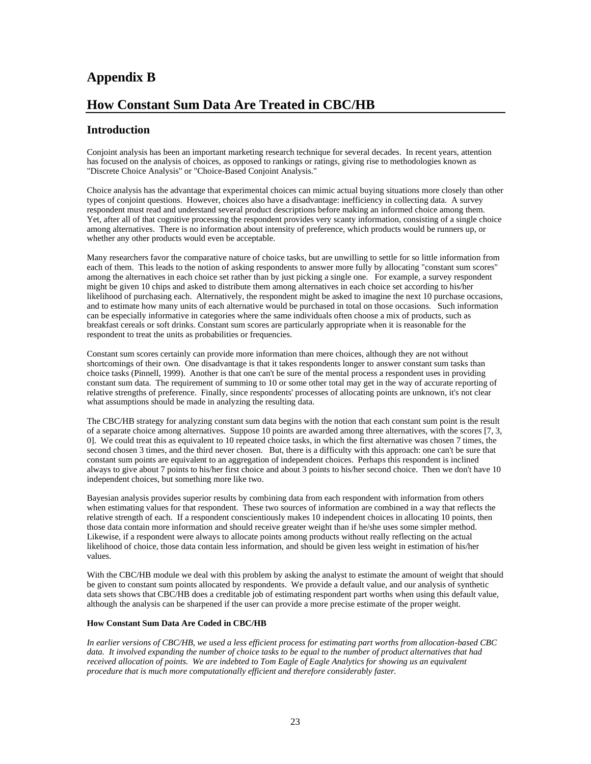## **Appendix B**

## **How Constant Sum Data Are Treated in CBC/HB**

#### **Introduction**

Conjoint analysis has been an important marketing research technique for several decades. In recent years, attention has focused on the analysis of choices, as opposed to rankings or ratings, giving rise to methodologies known as "Discrete Choice Analysis" or "Choice-Based Conjoint Analysis."

Choice analysis has the advantage that experimental choices can mimic actual buying situations more closely than other types of conjoint questions. However, choices also have a disadvantage: inefficiency in collecting data. A survey respondent must read and understand several product descriptions before making an informed choice among them. Yet, after all of that cognitive processing the respondent provides very scanty information, consisting of a single choice among alternatives. There is no information about intensity of preference, which products would be runners up, or whether any other products would even be acceptable.

Many researchers favor the comparative nature of choice tasks, but are unwilling to settle for so little information from each of them. This leads to the notion of asking respondents to answer more fully by allocating "constant sum scores" among the alternatives in each choice set rather than by just picking a single one. For example, a survey respondent might be given 10 chips and asked to distribute them among alternatives in each choice set according to his/her likelihood of purchasing each. Alternatively, the respondent might be asked to imagine the next 10 purchase occasions, and to estimate how many units of each alternative would be purchased in total on those occasions. Such information can be especially informative in categories where the same individuals often choose a mix of products, such as breakfast cereals or soft drinks. Constant sum scores are particularly appropriate when it is reasonable for the respondent to treat the units as probabilities or frequencies.

Constant sum scores certainly can provide more information than mere choices, although they are not without shortcomings of their own. One disadvantage is that it takes respondents longer to answer constant sum tasks than choice tasks (Pinnell, 1999). Another is that one can't be sure of the mental process a respondent uses in providing constant sum data. The requirement of summing to 10 or some other total may get in the way of accurate reporting of relative strengths of preference. Finally, since respondents' processes of allocating points are unknown, it's not clear what assumptions should be made in analyzing the resulting data.

The CBC/HB strategy for analyzing constant sum data begins with the notion that each constant sum point is the result of a separate choice among alternatives. Suppose 10 points are awarded among three alternatives, with the scores [7, 3, 0]. We could treat this as equivalent to 10 repeated choice tasks, in which the first alternative was chosen 7 times, the second chosen 3 times, and the third never chosen. But, there is a difficulty with this approach: one can't be sure that constant sum points are equivalent to an aggregation of independent choices. Perhaps this respondent is inclined always to give about 7 points to his/her first choice and about 3 points to his/her second choice. Then we don't have 10 independent choices, but something more like two.

Bayesian analysis provides superior results by combining data from each respondent with information from others when estimating values for that respondent. These two sources of information are combined in a way that reflects the relative strength of each. If a respondent conscientiously makes 10 independent choices in allocating 10 points, then those data contain more information and should receive greater weight than if he/she uses some simpler method. Likewise, if a respondent were always to allocate points among products without really reflecting on the actual likelihood of choice, those data contain less information, and should be given less weight in estimation of his/her values.

With the CBC/HB module we deal with this problem by asking the analyst to estimate the amount of weight that should be given to constant sum points allocated by respondents. We provide a default value, and our analysis of synthetic data sets shows that CBC/HB does a creditable job of estimating respondent part worths when using this default value, although the analysis can be sharpened if the user can provide a more precise estimate of the proper weight.

#### **How Constant Sum Data Are Coded in CBC/HB**

*In earlier versions of CBC/HB, we used a less efficient process for estimating part worths from allocation-based CBC data. It involved expanding the number of choice tasks to be equal to the number of product alternatives that had received allocation of points. We are indebted to Tom Eagle of Eagle Analytics for showing us an equivalent procedure that is much more computationally efficient and therefore considerably faster.*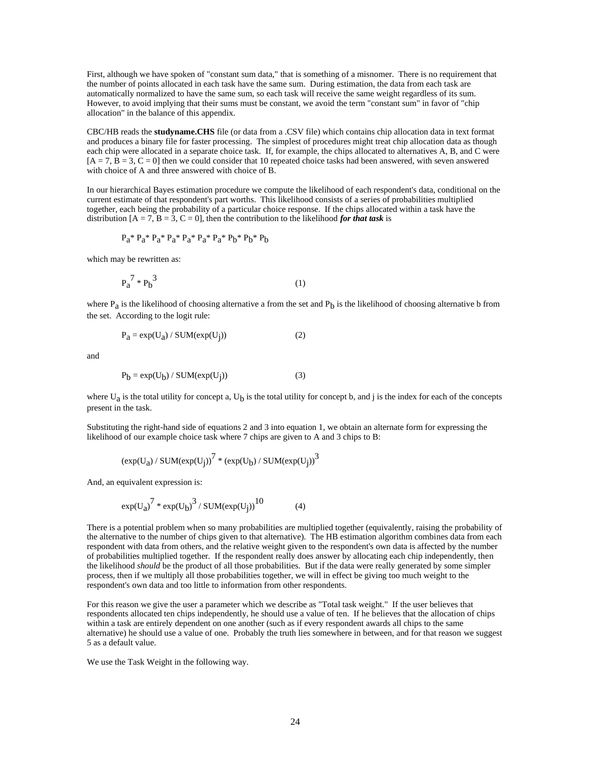First, although we have spoken of "constant sum data," that is something of a misnomer. There is no requirement that the number of points allocated in each task have the same sum. During estimation, the data from each task are automatically normalized to have the same sum, so each task will receive the same weight regardless of its sum. However, to avoid implying that their sums must be constant, we avoid the term "constant sum" in favor of "chip allocation" in the balance of this appendix.

CBC/HB reads the **studyname.CHS** file (or data from a .CSV file) which contains chip allocation data in text format and produces a binary file for faster processing. The simplest of procedures might treat chip allocation data as though each chip were allocated in a separate choice task. If, for example, the chips allocated to alternatives A, B, and C were  $[A = 7, B = 3, C = 0]$  then we could consider that 10 repeated choice tasks had been answered, with seven answered with choice of A and three answered with choice of B.

In our hierarchical Bayes estimation procedure we compute the likelihood of each respondent's data, conditional on the current estimate of that respondent's part worths. This likelihood consists of a series of probabilities multiplied together, each being the probability of a particular choice response. If the chips allocated within a task have the distribution  $[A = 7, B = 3, C = 0]$ , then the contribution to the likelihood *for that task* is

$$
P_{a}^* P_{a}^* P_{a}^* P_{a}^* P_{a}^* P_{a}^* P_{a}^* P_{b}^* P_{b}^* P_{b}^* P_{b}
$$

which may be rewritten as:

$$
P_a^7 * P_b^3 \tag{1}
$$

where  $P_a$  is the likelihood of choosing alternative a from the set and  $P_b$  is the likelihood of choosing alternative b from the set. According to the logit rule:

$$
P_a = \exp(U_a) / SUM(\exp(U_j))
$$
 (2)

and

$$
P_b = \exp(U_b) / SUM(\exp(U_j))
$$
 (3)

where  $U_a$  is the total utility for concept a,  $U_b$  is the total utility for concept b, and j is the index for each of the concepts present in the task.

Substituting the right-hand side of equations 2 and 3 into equation 1, we obtain an alternate form for expressing the likelihood of our example choice task where 7 chips are given to A and 3 chips to B:

$$
\left(\exp(U_a)\,/\,SUM(\exp(U_j)\right)^7\,\ast\,\left(\exp(U_b)\,/\,SUM(\exp(U_j)\right)^3
$$

And, an equivalent expression is:

$$
\exp(U_a)^7 * \exp(U_b)^3 / SUM(\exp(U_j))^{10} \tag{4}
$$

There is a potential problem when so many probabilities are multiplied together (equivalently, raising the probability of the alternative to the number of chips given to that alternative). The HB estimation algorithm combines data from each respondent with data from others, and the relative weight given to the respondent's own data is affected by the number of probabilities multiplied together. If the respondent really does answer by allocating each chip independently, then the likelihood *should* be the product of all those probabilities. But if the data were really generated by some simpler process, then if we multiply all those probabilities together, we will in effect be giving too much weight to the respondent's own data and too little to information from other respondents.

For this reason we give the user a parameter which we describe as "Total task weight." If the user believes that respondents allocated ten chips independently, he should use a value of ten. If he believes that the allocation of chips within a task are entirely dependent on one another (such as if every respondent awards all chips to the same alternative) he should use a value of one. Probably the truth lies somewhere in between, and for that reason we suggest 5 as a default value.

We use the Task Weight in the following way.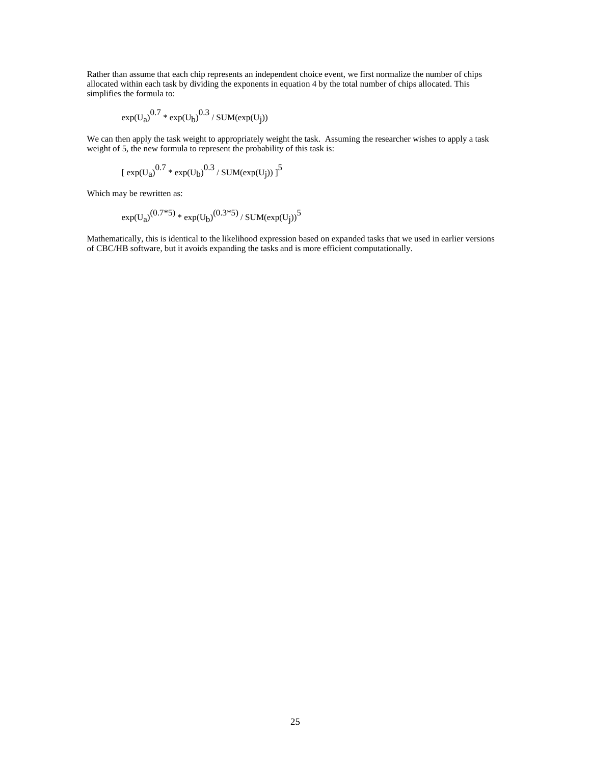Rather than assume that each chip represents an independent choice event, we first normalize the number of chips allocated within each task by dividing the exponents in equation 4 by the total number of chips allocated. This simplifies the formula to:

$$
\exp(U_a)^{0.7} * \exp(U_b)^{0.3} / \text{SUM}(\exp(U_j))
$$

We can then apply the task weight to appropriately weight the task. Assuming the researcher wishes to apply a task weight of 5, the new formula to represent the probability of this task is:

$$
\left[\right. \exp(U_a\right)^{0.7} * \exp(U_b)^{0.3} / \left. \text{SUM}(\exp(U_j)) \right. \right]^5
$$

Which may be rewritten as:

$$
\exp(U_a)^{(0.7*5)} * \exp(U_b)^{(0.3*5)} / \text{SUM}(\exp(U_j))^5
$$

Mathematically, this is identical to the likelihood expression based on expanded tasks that we used in earlier versions of CBC/HB software, but it avoids expanding the tasks and is more efficient computationally.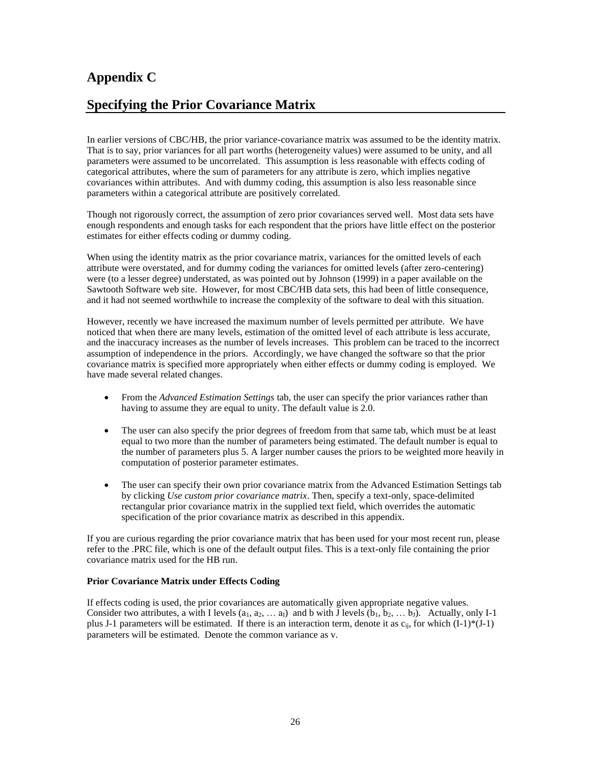## **Appendix C**

## **Specifying the Prior Covariance Matrix**

In earlier versions of CBC/HB, the prior variance-covariance matrix was assumed to be the identity matrix. That is to say, prior variances for all part worths (heterogeneity values) were assumed to be unity, and all parameters were assumed to be uncorrelated. This assumption is less reasonable with effects coding of categorical attributes, where the sum of parameters for any attribute is zero, which implies negative covariances within attributes. And with dummy coding, this assumption is also less reasonable since parameters within a categorical attribute are positively correlated.

Though not rigorously correct, the assumption of zero prior covariances served well. Most data sets have enough respondents and enough tasks for each respondent that the priors have little effect on the posterior estimates for either effects coding or dummy coding.

When using the identity matrix as the prior covariance matrix, variances for the omitted levels of each attribute were overstated, and for dummy coding the variances for omitted levels (after zero-centering) were (to a lesser degree) understated, as was pointed out by Johnson (1999) in a paper available on the Sawtooth Software web site. However, for most CBC/HB data sets, this had been of little consequence, and it had not seemed worthwhile to increase the complexity of the software to deal with this situation.

However, recently we have increased the maximum number of levels permitted per attribute. We have noticed that when there are many levels, estimation of the omitted level of each attribute is less accurate, and the inaccuracy increases as the number of levels increases. This problem can be traced to the incorrect assumption of independence in the priors. Accordingly, we have changed the software so that the prior covariance matrix is specified more appropriately when either effects or dummy coding is employed. We have made several related changes.

- From the *Advanced Estimation Settings* tab, the user can specify the prior variances rather than having to assume they are equal to unity. The default value is 2.0.
- The user can also specify the prior degrees of freedom from that same tab, which must be at least equal to two more than the number of parameters being estimated. The default number is equal to the number of parameters plus 5. A larger number causes the priors to be weighted more heavily in computation of posterior parameter estimates.
- The user can specify their own prior covariance matrix from the Advanced Estimation Settings tab by clicking *Use custom prior covariance matrix*. Then, specify a text-only, space-delimited rectangular prior covariance matrix in the supplied text field, which overrides the automatic specification of the prior covariance matrix as described in this appendix.

If you are curious regarding the prior covariance matrix that has been used for your most recent run, please refer to the .PRC file, which is one of the default output files. This is a text-only file containing the prior covariance matrix used for the HB run.

#### **Prior Covariance Matrix under Effects Coding**

If effects coding is used, the prior covariances are automatically given appropriate negative values. Consider two attributes, a with I levels  $(a_1, a_2, \ldots a_l)$  and b with J levels  $(b_1, b_2, \ldots b_l)$ . Actually, only I-1 plus J-1 parameters will be estimated. If there is an interaction term, denote it as  $c_{ii}$ , for which  $(I-1)*(J-1)$ parameters will be estimated. Denote the common variance as v.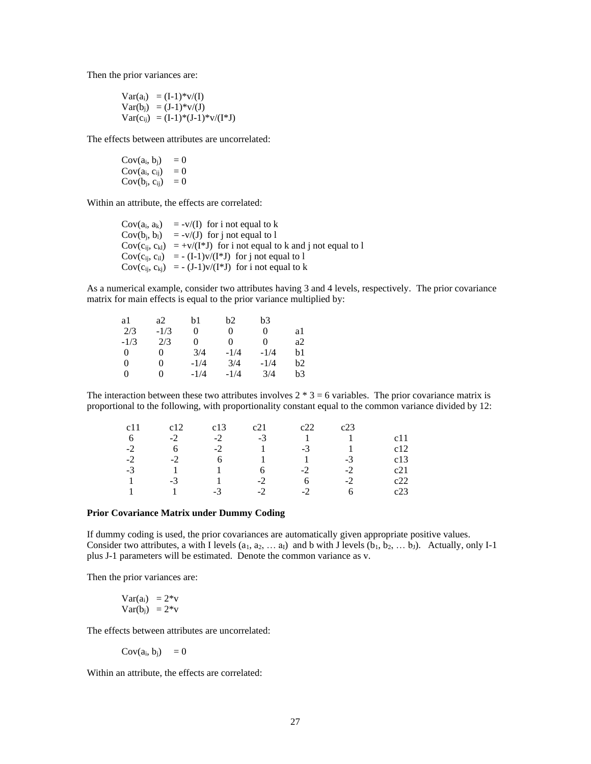Then the prior variances are:

$$
Var(a_i) = (I-1)*v/(I)
$$
  
\n
$$
Var(b_j) = (J-1)*v/(J)
$$
  
\n
$$
Var(c_{ij}) = (I-1)*(J-1)*v/(I*J)
$$

The effects between attributes are uncorrelated:

$$
Cov(ai, bj) = 0
$$
  
\n
$$
Cov(ai, cij) = 0
$$
  
\n
$$
Cov(bj, cij) = 0
$$

Within an attribute, the effects are correlated:

| $Cov(a_i, a_k) = -v/(I)$ for i not equal to k                               |
|-----------------------------------------------------------------------------|
| $Cov(b_i, b_l) = -v/(J)$ for i not equal to 1                               |
| $Cov(c_{ii}, c_{kl}) = +v/(I^*J)$ for i not equal to k and j not equal to l |
| $Cov(c_{ii}, c_{i1}) = - (I-1)v/(I*J)$ for j not equal to 1                 |
| $Cov(c_{ii}, c_{ki}) = -(J-1)v/(I*J)$ for i not equal to k                  |

As a numerical example, consider two attributes having 3 and 4 levels, respectively. The prior covariance matrix for main effects is equal to the prior variance multiplied by:

| a1       | a2       | b1     | b2     | b3     |    |
|----------|----------|--------|--------|--------|----|
| 2/3      | $-1/3$   | 0      | 0      | 0      | al |
| $-1/3$   | 2/3      | 0      | 0      | 0      | a2 |
| $\Omega$ | 0        | 3/4    | $-1/4$ | $-1/4$ | b1 |
| $\Omega$ | $\theta$ | $-1/4$ | 3/4    | $-1/4$ | b2 |
| $\Omega$ | 0        | $-1/4$ | $-1/4$ | 3/4    | b3 |

The interaction between these two attributes involves  $2 * 3 = 6$  variables. The prior covariance matrix is proportional to the following, with proportionality constant equal to the common variance divided by 12:

| c11  |      | c13  | c21  | $22^{\circ}$ | c23  |     |
|------|------|------|------|--------------|------|-----|
| 6    | $-2$ | $-2$ | $-3$ |              |      | c11 |
| $-2$ | 6    | $-2$ |      | $-3$         |      | c12 |
| $-2$ | $-2$ | 6    |      |              | $-3$ | c13 |
| $-3$ |      |      |      | $-2$         | $-2$ | c21 |
|      | $-3$ |      | $-2$ |              | $-2$ | c22 |
|      |      | $-3$ | $-2$ | $-2$         |      | c23 |

#### **Prior Covariance Matrix under Dummy Coding**

If dummy coding is used, the prior covariances are automatically given appropriate positive values. Consider two attributes, a with I levels  $(a_1, a_2, \ldots a_I)$  and b with J levels  $(b_1, b_2, \ldots b_J)$ . Actually, only I-1 plus J-1 parameters will be estimated. Denote the common variance as v.

Then the prior variances are:

$$
Var(a_i) = 2*Var(b_j) = 2*v
$$

The effects between attributes are uncorrelated:

 $Cov(a_i, b_i) = 0$ 

Within an attribute, the effects are correlated: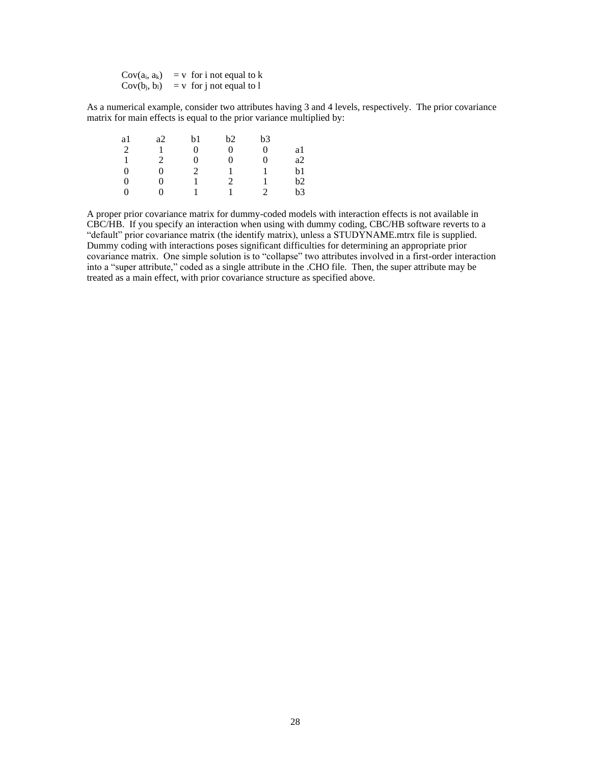$Cov(a_i, a_k)$  = v for i not equal to k  $Cov(b_i, b_i)$  = v for j not equal to 1

As a numerical example, consider two attributes having 3 and 4 levels, respectively. The prior covariance matrix for main effects is equal to the prior variance multiplied by:

| a1 | a2 | b1 | b2 | b3 |    |
|----|----|----|----|----|----|
| 2  |    | 0  | 0  | 0  | a1 |
|    | 2  | 0  | ∩  | 0  | a2 |
| 0  | 0  | 2  |    |    | b1 |
| 0  | 0  |    | 2  |    | b2 |
| 0  |    |    |    | っ  | b3 |

A proper prior covariance matrix for dummy-coded models with interaction effects is not available in CBC/HB. If you specify an interaction when using with dummy coding, CBC/HB software reverts to a "default" prior covariance matrix (the identify matrix), unless a STUDYNAME.mtrx file is supplied. Dummy coding with interactions poses significant difficulties for determining an appropriate prior covariance matrix. One simple solution is to "collapse" two attributes involved in a first-order interaction into a "super attribute," coded as a single attribute in the .CHO file. Then, the super attribute may be treated as a main effect, with prior covariance structure as specified above.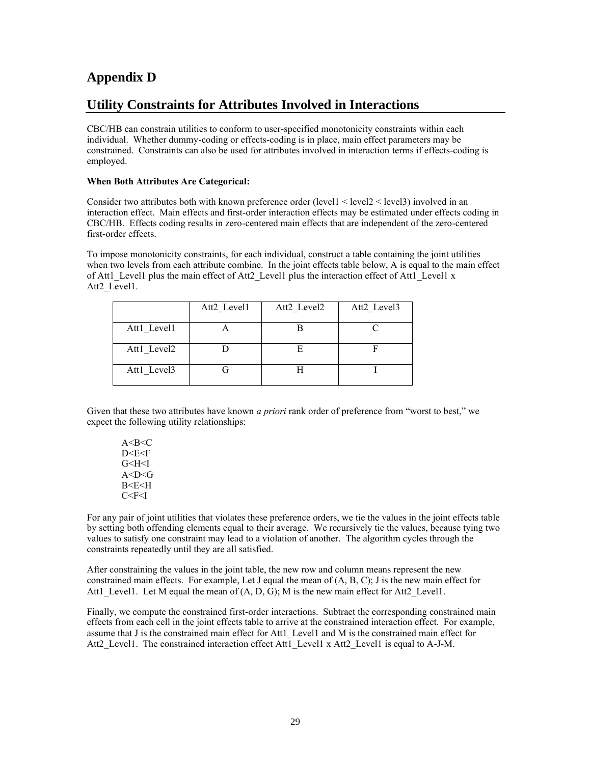## **Appendix D**

## **Utility Constraints for Attributes Involved in Interactions**

CBC/HB can constrain utilities to conform to user-specified monotonicity constraints within each individual. Whether dummy-coding or effects-coding is in place, main effect parameters may be constrained. Constraints can also be used for attributes involved in interaction terms if effects-coding is employed.

#### **When Both Attributes Are Categorical:**

Consider two attributes both with known preference order (level1 < level2 < level3) involved in an interaction effect. Main effects and first-order interaction effects may be estimated under effects coding in CBC/HB. Effects coding results in zero-centered main effects that are independent of the zero-centered first-order effects.

To impose monotonicity constraints, for each individual, construct a table containing the joint utilities when two levels from each attribute combine. In the joint effects table below, A is equal to the main effect of Att1\_Level1 plus the main effect of Att2\_Level1 plus the interaction effect of Att1\_Level1 x Att2 Level1.

|             | Att2 Level1 | Att2 Level2 | Att2 Level3 |
|-------------|-------------|-------------|-------------|
| Att1 Level1 |             |             |             |
| Att1 Level2 |             |             |             |
| Att1 Level3 |             |             |             |

Given that these two attributes have known *a priori* rank order of preference from "worst to best," we expect the following utility relationships:

 $A < B < C$ D<F<F G<H<I A<D<G B<E<H  $C < F < I$ 

For any pair of joint utilities that violates these preference orders, we tie the values in the joint effects table by setting both offending elements equal to their average. We recursively tie the values, because tying two values to satisfy one constraint may lead to a violation of another. The algorithm cycles through the constraints repeatedly until they are all satisfied.

After constraining the values in the joint table, the new row and column means represent the new constrained main effects. For example, Let J equal the mean of (A, B, C); J is the new main effect for Att1 Level1. Let M equal the mean of  $(A, D, G)$ ; M is the new main effect for Att2 Level1.

Finally, we compute the constrained first-order interactions. Subtract the corresponding constrained main effects from each cell in the joint effects table to arrive at the constrained interaction effect. For example, assume that J is the constrained main effect for Att1\_Level1 and M is the constrained main effect for Att2 Level1. The constrained interaction effect Att1 Level1 x Att2 Level1 is equal to A-J-M.